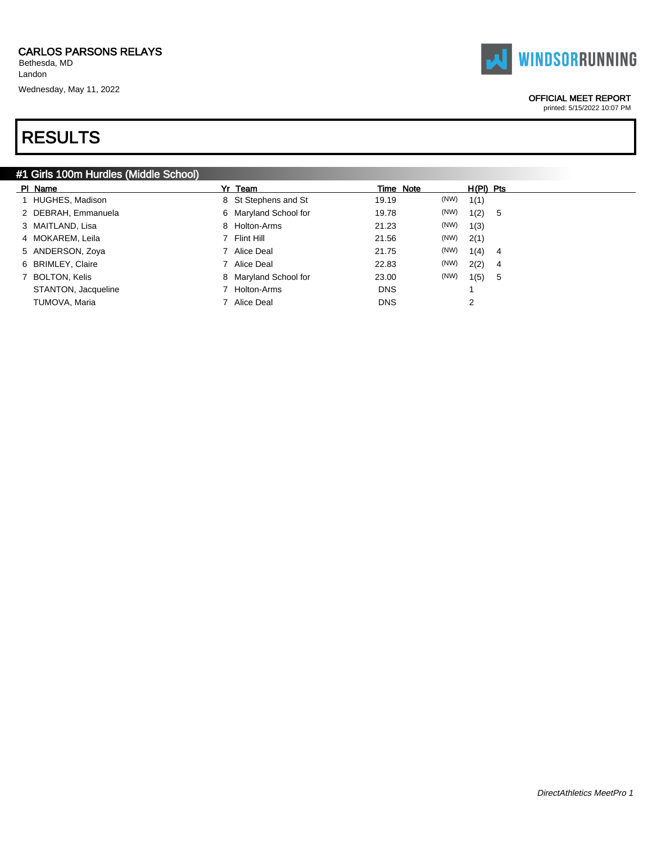Bethesda, MD Landon

Wednesday, May 11, 2022

# RESULTS

### #1 Girls 100m Hurdles (Middle School)

| PI Name             | Yr Team               |            | Time Note | $H(PI)$ Pts |                |
|---------------------|-----------------------|------------|-----------|-------------|----------------|
| 1 HUGHES, Madison   | 8 St Stephens and St  | 19.19      | (NW)      | 1(1)        |                |
| 2 DEBRAH, Emmanuela | 6 Maryland School for | 19.78      | (NW)      | 1(2)        | -5             |
| 3 MAITLAND, Lisa    | 8 Holton-Arms         | 21.23      | (NW)      | 1(3)        |                |
| 4 MOKAREM, Leila    | 7 Flint Hill          | 21.56      | (NW)      | 2(1)        |                |
| 5 ANDERSON, Zoya    | 7 Alice Deal          | 21.75      | (NW)      | 1(4)        | 4              |
| 6 BRIMLEY, Claire   | 7 Alice Deal          | 22.83      | (NW)      | 2(2)        | $\overline{4}$ |
| 7 BOLTON, Kelis     | 8 Maryland School for | 23.00      | (NW)      | 1(5)        | -5             |
| STANTON, Jacqueline | 7 Holton-Arms         | <b>DNS</b> |           |             |                |
| TUMOVA, Maria       | 7 Alice Deal          | <b>DNS</b> |           | 2           |                |

### OFFICIAL MEET REPORT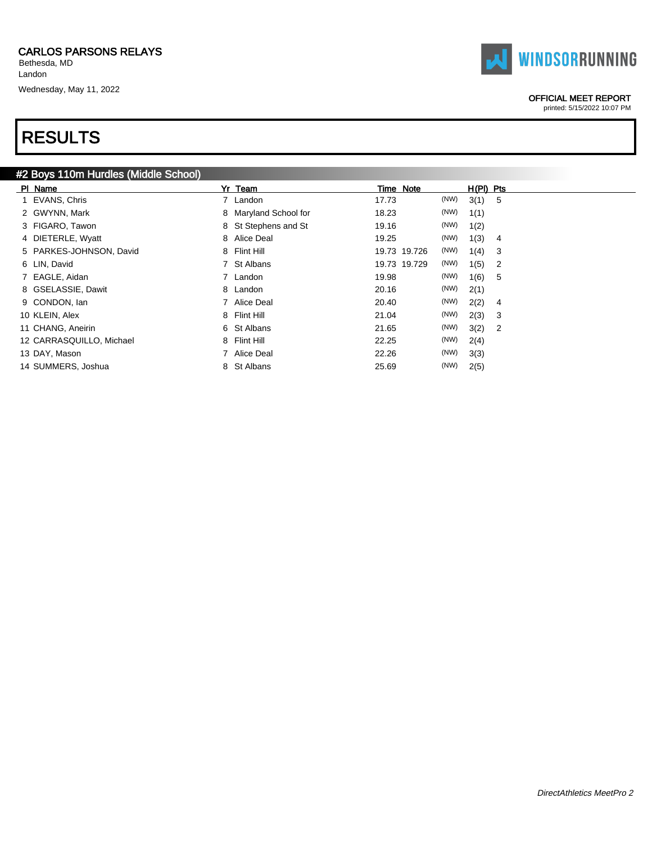Bethesda, MD Landon

Wednesday, May 11, 2022

# RESULTS

|  | <b>TAI WINDSORRUNNING</b> |
|--|---------------------------|
|--|---------------------------|

### OFFICIAL MEET REPORT

| Yr Team               | Time Note                            | $H(PI)$ Pts            |
|-----------------------|--------------------------------------|------------------------|
| 7 Landon              | (NW)<br>17.73                        | 3(1) 5                 |
| 8 Maryland School for | (NW)<br>18.23                        | 1(1)                   |
| 8 St Stephens and St  | (NW)<br>19.16                        | 1(2)                   |
| 8 Alice Deal          | (NW)<br>19.25                        | 1(3)<br>4              |
| 8 Flint Hill          | (NW)<br>19.73 19.726                 | 1(4)<br>3              |
| 7 St Albans           | (NW)<br>19.73 19.729                 | 1(5)<br>2              |
| 7 Landon              | (NW)<br>19.98                        | 1(6)<br>5              |
| 8 Landon              | (NW)<br>20.16                        | 2(1)                   |
| 7 Alice Deal          | (NW)<br>20.40                        | 2(2)<br>4              |
| 8 Flint Hill          | (NW)<br>21.04                        | 2(3)<br>3              |
| 6 St Albans           | (NW)<br>21.65                        | 3(2)<br>$\overline{2}$ |
| 8 Flint Hill          | (NW)<br>22.25                        | 2(4)                   |
| 7 Alice Deal          | (NW)<br>22.26                        | 3(3)                   |
| St Albans<br>8        | (NW)<br>25.69                        | 2(5)                   |
|                       | #2 Boys 110m Hurdles (Middle School) |                        |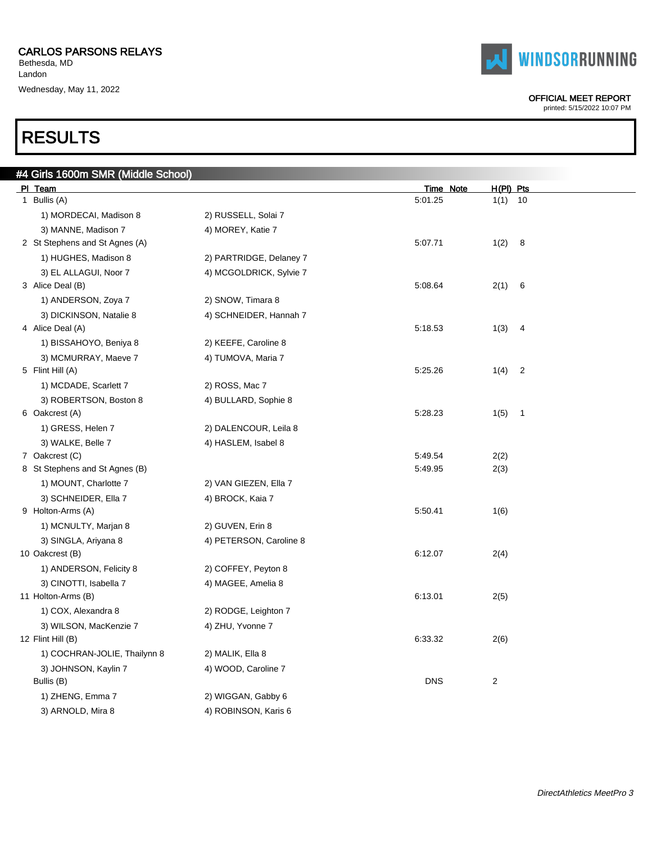Bethesda, MD Landon Wednesday, May 11, 2022

# RESULTS

|  | <b>TAI WINDSORRUNNING</b> |
|--|---------------------------|
|--|---------------------------|

#### OFFICIAL MEET REPORT

| #4 Girls 1600m SMR (Middle School) |                         |                  |                         |
|------------------------------------|-------------------------|------------------|-------------------------|
| PI Team                            |                         | <b>Time Note</b> | $H(PI)$ Pts             |
| 1 Bullis (A)                       |                         | 5:01.25          | $1(1)$ 10               |
| 1) MORDECAI, Madison 8             | 2) RUSSELL, Solai 7     |                  |                         |
| 3) MANNE, Madison 7                | 4) MOREY, Katie 7       |                  |                         |
| 2 St Stephens and St Agnes (A)     |                         | 5:07.71          | 1(2)<br>- 8             |
| 1) HUGHES, Madison 8               | 2) PARTRIDGE, Delaney 7 |                  |                         |
| 3) EL ALLAGUI, Noor 7              | 4) MCGOLDRICK, Sylvie 7 |                  |                         |
| 3 Alice Deal (B)                   |                         | 5:08.64          | 2(1)<br>$6\overline{6}$ |
| 1) ANDERSON, Zoya 7                | 2) SNOW, Timara 8       |                  |                         |
| 3) DICKINSON, Natalie 8            | 4) SCHNEIDER, Hannah 7  |                  |                         |
| 4 Alice Deal (A)                   |                         | 5:18.53          | 1(3) 4                  |
| 1) BISSAHOYO, Beniya 8             | 2) KEEFE, Caroline 8    |                  |                         |
| 3) MCMURRAY, Maeve 7               | 4) TUMOVA, Maria 7      |                  |                         |
| 5 Flint Hill (A)                   |                         | 5:25.26          | $1(4)$ 2                |
| 1) MCDADE, Scarlett 7              | 2) ROSS, Mac 7          |                  |                         |
| 3) ROBERTSON, Boston 8             | 4) BULLARD, Sophie 8    |                  |                         |
| 6 Oakcrest (A)                     |                         | 5:28.23          | $1(5)$ 1                |
| 1) GRESS, Helen 7                  | 2) DALENCOUR, Leila 8   |                  |                         |
| 3) WALKE, Belle 7                  | 4) HASLEM, Isabel 8     |                  |                         |
| 7 Oakcrest (C)                     |                         | 5:49.54          | 2(2)                    |
| 8 St Stephens and St Agnes (B)     |                         | 5:49.95          | 2(3)                    |
| 1) MOUNT, Charlotte 7              | 2) VAN GIEZEN, Ella 7   |                  |                         |
| 3) SCHNEIDER, Ella 7               | 4) BROCK, Kaia 7        |                  |                         |
| 9 Holton-Arms (A)                  |                         | 5:50.41          | 1(6)                    |
| 1) MCNULTY, Marjan 8               | 2) GUVEN, Erin 8        |                  |                         |
| 3) SINGLA, Ariyana 8               | 4) PETERSON, Caroline 8 |                  |                         |
| 10 Oakcrest (B)                    |                         | 6:12.07          | 2(4)                    |
| 1) ANDERSON, Felicity 8            | 2) COFFEY, Peyton 8     |                  |                         |
| 3) CINOTTI, Isabella 7             | 4) MAGEE, Amelia 8      |                  |                         |
| 11 Holton-Arms (B)                 |                         | 6:13.01          | 2(5)                    |
| 1) COX, Alexandra 8                | 2) RODGE, Leighton 7    |                  |                         |
| 3) WILSON, MacKenzie 7             | 4) ZHU, Yvonne 7        |                  |                         |
| 12 Flint Hill (B)                  |                         | 6:33.32          | 2(6)                    |
| 1) COCHRAN-JOLIE, Thailynn 8       | 2) MALIK, Ella 8        |                  |                         |
| 3) JOHNSON, Kaylin 7               | 4) WOOD, Caroline 7     |                  |                         |
| Bullis (B)                         |                         | <b>DNS</b>       | 2                       |
| 1) ZHENG, Emma 7                   | 2) WIGGAN, Gabby 6      |                  |                         |
| 3) ARNOLD, Mira 8                  | 4) ROBINSON, Karis 6    |                  |                         |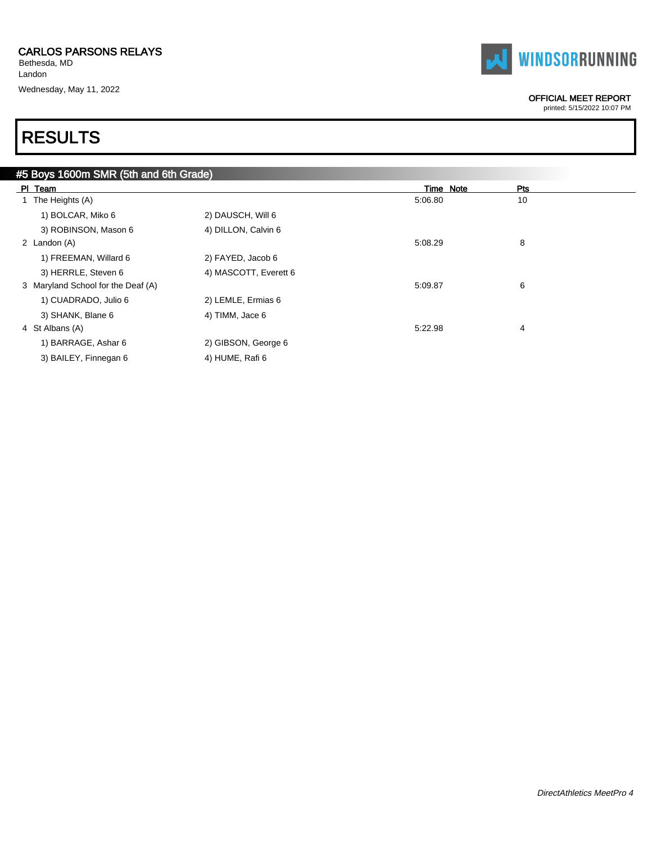Bethesda, MD Landon Wednesday, May 11, 2022



#### OFFICIAL MEET REPORT

printed: 5/15/2022 10:07 PM

| #5 Boys 1600m SMR (5th and 6th Grade) |                       |           |     |
|---------------------------------------|-----------------------|-----------|-----|
| PI Team                               |                       | Time Note | Pts |
| 1 The Heights (A)                     |                       | 5:06.80   | 10  |
| 1) BOLCAR, Miko 6                     | 2) DAUSCH, Will 6     |           |     |
| 3) ROBINSON, Mason 6                  | 4) DILLON, Calvin 6   |           |     |
| 2 Landon (A)                          |                       | 5:08.29   | 8   |
| 1) FREEMAN, Willard 6                 | 2) FAYED, Jacob 6     |           |     |
| 3) HERRLE, Steven 6                   | 4) MASCOTT, Everett 6 |           |     |
| 3 Maryland School for the Deaf (A)    |                       | 5:09.87   | 6   |
| 1) CUADRADO, Julio 6                  | 2) LEMLE, Ermias 6    |           |     |
| 3) SHANK, Blane 6                     | 4) TIMM, Jace 6       |           |     |
| 4 St Albans (A)                       |                       | 5:22.98   | 4   |
| 1) BARRAGE, Ashar 6                   | 2) GIBSON, George 6   |           |     |
| 3) BAILEY, Finnegan 6                 | 4) HUME, Rafi 6       |           |     |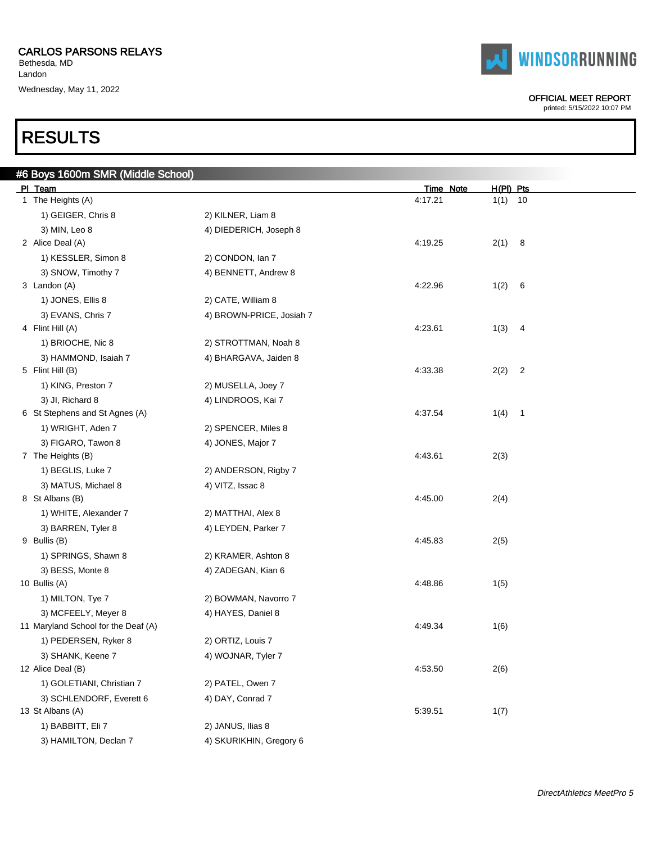#6 Boys 1600m SMR (Middle School)

Bethesda, MD Landon Wednesday, May 11, 2022



| PI Team                             |                          | <u>Time Note</u> | <u>H(PI) Pts</u> |                |  |
|-------------------------------------|--------------------------|------------------|------------------|----------------|--|
| 1 The Heights (A)                   |                          | 4:17.21          | 1(1)             | 10             |  |
| 1) GEIGER, Chris 8                  | 2) KILNER, Liam 8        |                  |                  |                |  |
| 3) MIN, Leo 8                       | 4) DIEDERICH, Joseph 8   |                  |                  |                |  |
| 2 Alice Deal (A)                    |                          | 4:19.25          | 2(1)             | 8              |  |
| 1) KESSLER, Simon 8                 | 2) CONDON, Ian 7         |                  |                  |                |  |
| 3) SNOW, Timothy 7                  | 4) BENNETT, Andrew 8     |                  |                  |                |  |
| 3 Landon (A)                        |                          | 4:22.96          | 1(2)             | - 6            |  |
| 1) JONES, Ellis 8                   | 2) CATE, William 8       |                  |                  |                |  |
| 3) EVANS, Chris 7                   | 4) BROWN-PRICE, Josiah 7 |                  |                  |                |  |
| 4 Flint Hill (A)                    |                          | 4:23.61          | 1(3)             | $\overline{4}$ |  |
| 1) BRIOCHE, Nic 8                   | 2) STROTTMAN, Noah 8     |                  |                  |                |  |
| 3) HAMMOND, Isaiah 7                | 4) BHARGAVA, Jaiden 8    |                  |                  |                |  |
| 5 Flint Hill (B)                    |                          | 4:33.38          | 2(2)             | $\overline{c}$ |  |
| 1) KING, Preston 7                  | 2) MUSELLA, Joey 7       |                  |                  |                |  |
| 3) JI, Richard 8                    | 4) LINDROOS, Kai 7       |                  |                  |                |  |
| 6 St Stephens and St Agnes (A)      |                          | 4:37.54          | 1(4)             | $\overline{1}$ |  |
| 1) WRIGHT, Aden 7                   | 2) SPENCER, Miles 8      |                  |                  |                |  |
| 3) FIGARO, Tawon 8                  | 4) JONES, Major 7        |                  |                  |                |  |
| 7 The Heights (B)                   |                          | 4:43.61          | 2(3)             |                |  |
| 1) BEGLIS, Luke 7                   | 2) ANDERSON, Rigby 7     |                  |                  |                |  |
| 3) MATUS, Michael 8                 | 4) VITZ, Issac 8         |                  |                  |                |  |
| 8 St Albans (B)                     |                          | 4:45.00          | 2(4)             |                |  |
| 1) WHITE, Alexander 7               | 2) MATTHAI, Alex 8       |                  |                  |                |  |
| 3) BARREN, Tyler 8                  | 4) LEYDEN, Parker 7      |                  |                  |                |  |
| 9 Bullis (B)                        |                          | 4:45.83          | 2(5)             |                |  |
| 1) SPRINGS, Shawn 8                 | 2) KRAMER, Ashton 8      |                  |                  |                |  |
| 3) BESS, Monte 8                    | 4) ZADEGAN, Kian 6       |                  |                  |                |  |
| 10 Bullis (A)                       |                          | 4:48.86          | 1(5)             |                |  |
| 1) MILTON, Tye 7                    | 2) BOWMAN, Navorro 7     |                  |                  |                |  |
| 3) MCFEELY, Meyer 8                 | 4) HAYES, Daniel 8       |                  |                  |                |  |
| 11 Maryland School for the Deaf (A) |                          | 4:49.34          | 1(6)             |                |  |
| 1) PEDERSEN, Ryker 8                | 2) ORTIZ, Louis 7        |                  |                  |                |  |
| 3) SHANK, Keene 7                   | 4) WOJNAR, Tyler 7       |                  |                  |                |  |
| 12 Alice Deal (B)                   |                          | 4:53.50          | 2(6)             |                |  |
| 1) GOLETIANI, Christian 7           | 2) PATEL, Owen 7         |                  |                  |                |  |
| 3) SCHLENDORF, Everett 6            | 4) DAY, Conrad 7         |                  |                  |                |  |
| 13 St Albans (A)                    |                          | 5:39.51          | 1(7)             |                |  |
| 1) BABBITT, Eli 7                   | 2) JANUS, Ilias 8        |                  |                  |                |  |
| 3) HAMILTON, Declan 7               | 4) SKURIKHIN, Gregory 6  |                  |                  |                |  |

**WINDSORRUNNING** 

#### OFFICIAL MEET REPORT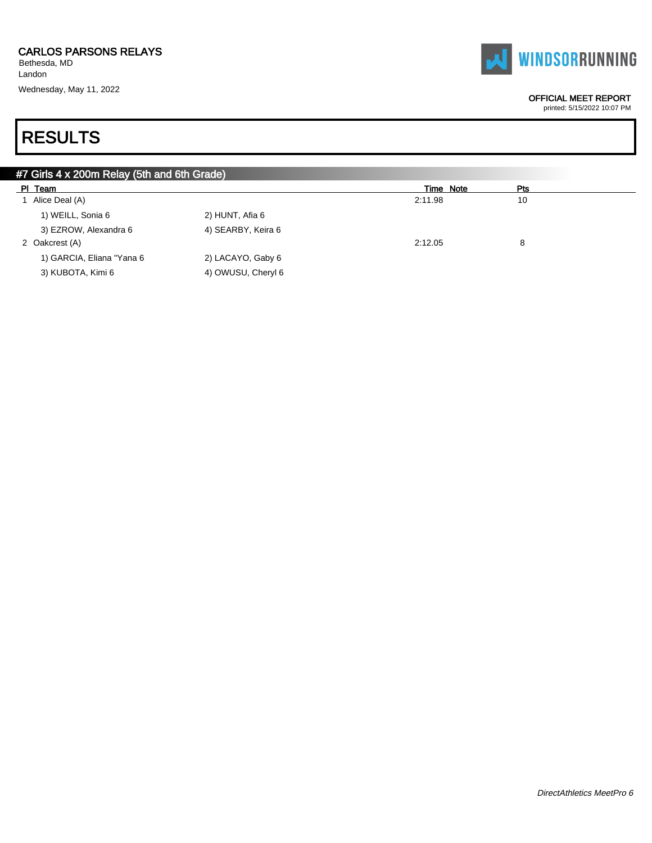Bethesda, MD Landon Wednesday, May 11, 2022



#### OFFICIAL MEET REPORT

printed: 5/15/2022 10:07 PM

| #7 Girls 4 x 200m Relay (5th and 6th Grade) |                    |           |            |  |
|---------------------------------------------|--------------------|-----------|------------|--|
| PI Team                                     |                    | Time Note | <b>Pts</b> |  |
| Alice Deal (A)                              |                    | 2:11.98   | 10         |  |
| 1) WEILL, Sonia 6                           | 2) HUNT, Afia 6    |           |            |  |
| 3) EZROW, Alexandra 6                       | 4) SEARBY, Keira 6 |           |            |  |
| 2 Oakcrest (A)                              |                    | 2:12.05   | 8          |  |
| 1) GARCIA, Eliana "Yana 6                   | 2) LACAYO, Gaby 6  |           |            |  |
| 3) KUBOTA, Kimi 6                           | 4) OWUSU, Cheryl 6 |           |            |  |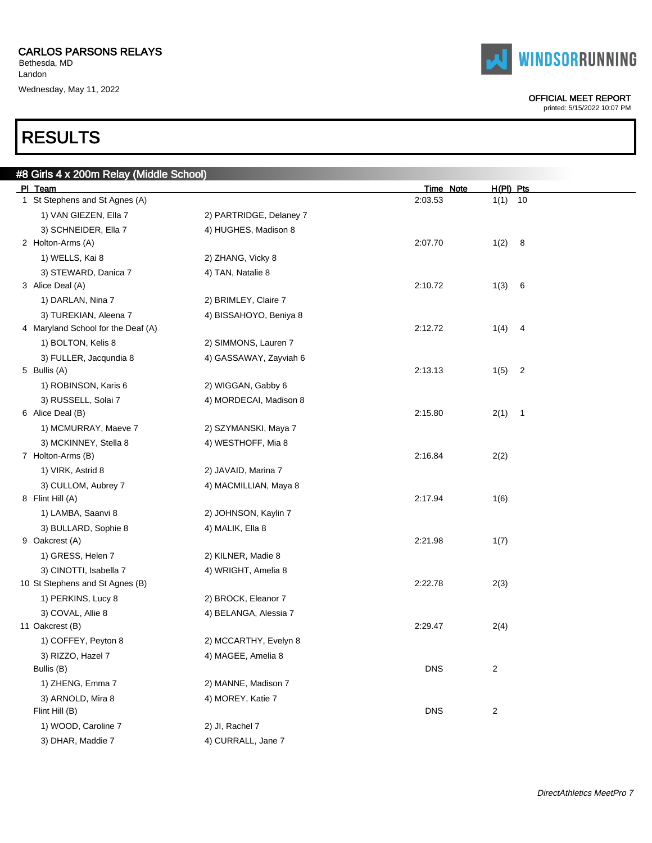Bethesda, MD Landon Wednesday, May 11, 2022

# RESULTS

| #8 Girls 4 x 200m Relay (Middle School) |                         |            |                        |
|-----------------------------------------|-------------------------|------------|------------------------|
| PI Team                                 |                         | Time Note  | $H(PI)$ Pts            |
| 1 St Stephens and St Agnes (A)          |                         | 2:03.53    | $1(1)$ 10              |
| 1) VAN GIEZEN, Ella 7                   | 2) PARTRIDGE, Delaney 7 |            |                        |
| 3) SCHNEIDER, Ella 7                    | 4) HUGHES, Madison 8    |            |                        |
| 2 Holton-Arms (A)                       |                         | 2:07.70    | 1(2)<br>8              |
| 1) WELLS, Kai 8                         | 2) ZHANG, Vicky 8       |            |                        |
| 3) STEWARD, Danica 7                    | 4) TAN, Natalie 8       |            |                        |
| 3 Alice Deal (A)                        |                         | 2:10.72    | 1(3)<br>6              |
| 1) DARLAN, Nina 7                       | 2) BRIMLEY, Claire 7    |            |                        |
| 3) TUREKIAN, Aleena 7                   | 4) BISSAHOYO, Beniya 8  |            |                        |
| 4 Maryland School for the Deaf (A)      |                         | 2:12.72    | 1(4)<br>$\overline{4}$ |
| 1) BOLTON, Kelis 8                      | 2) SIMMONS, Lauren 7    |            |                        |
| 3) FULLER, Jacqundia 8                  | 4) GASSAWAY, Zayviah 6  |            |                        |
| 5 Bullis (A)                            |                         | 2:13.13    | 1(5)<br>2              |
| 1) ROBINSON, Karis 6                    | 2) WIGGAN, Gabby 6      |            |                        |
| 3) RUSSELL, Solai 7                     | 4) MORDECAI, Madison 8  |            |                        |
| 6 Alice Deal (B)                        |                         | 2:15.80    | 2(1)<br>$\overline{1}$ |
| 1) MCMURRAY, Maeve 7                    | 2) SZYMANSKI, Maya 7    |            |                        |
| 3) MCKINNEY, Stella 8                   | 4) WESTHOFF, Mia 8      |            |                        |
| 7 Holton-Arms (B)                       |                         | 2:16.84    | 2(2)                   |
| 1) VIRK, Astrid 8                       | 2) JAVAID, Marina 7     |            |                        |
| 3) CULLOM, Aubrey 7                     | 4) MACMILLIAN, Maya 8   |            |                        |
| 8 Flint Hill (A)                        |                         | 2:17.94    | 1(6)                   |
| 1) LAMBA, Saanvi 8                      | 2) JOHNSON, Kaylin 7    |            |                        |
| 3) BULLARD, Sophie 8                    | 4) MALIK, Ella 8        |            |                        |
| 9 Oakcrest (A)                          |                         | 2:21.98    | 1(7)                   |
| 1) GRESS, Helen 7                       | 2) KILNER, Madie 8      |            |                        |
| 3) CINOTTI, Isabella 7                  | 4) WRIGHT, Amelia 8     |            |                        |
| 10 St Stephens and St Agnes (B)         |                         | 2:22.78    | 2(3)                   |
| 1) PERKINS, Lucy 8                      | 2) BROCK, Eleanor 7     |            |                        |
| 3) COVAL, Allie 8                       | 4) BELANGA, Alessia 7   |            |                        |
| 11 Oakcrest (B)                         |                         | 2:29.47    | 2(4)                   |
| 1) COFFEY, Peyton 8                     | 2) MCCARTHY, Evelyn 8   |            |                        |
| 3) RIZZO, Hazel 7                       | 4) MAGEE, Amelia 8      |            |                        |
| Bullis (B)                              |                         | <b>DNS</b> | 2                      |
| 1) ZHENG, Emma 7                        | 2) MANNE, Madison 7     |            |                        |
| 3) ARNOLD, Mira 8                       | 4) MOREY, Katie 7       |            |                        |
| Flint Hill (B)                          |                         | <b>DNS</b> | 2                      |
| 1) WOOD, Caroline 7                     | 2) JI, Rachel 7         |            |                        |
| 3) DHAR, Maddie 7                       | 4) CURRALL, Jane 7      |            |                        |



#### OFFICIAL MEET REPORT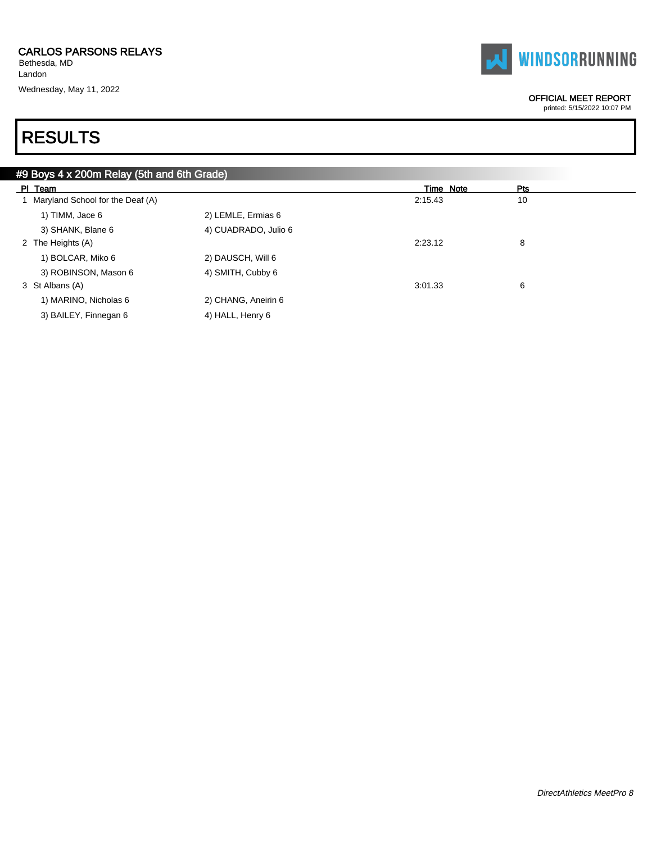Bethesda, MD Landon Wednesday, May 11, 2022



#### OFFICIAL MEET REPORT

printed: 5/15/2022 10:07 PM

| #9 Boys 4 x 200m Relay (5th and 6th Grade) |                      |           |     |
|--------------------------------------------|----------------------|-----------|-----|
| PI Team                                    |                      | Time Note | Pts |
| 1 Maryland School for the Deaf (A)         |                      | 2:15.43   | 10  |
| 1) TIMM, Jace 6                            | 2) LEMLE, Ermias 6   |           |     |
| 3) SHANK, Blane 6                          | 4) CUADRADO, Julio 6 |           |     |
| 2 The Heights (A)                          |                      | 2:23.12   | 8   |
| 1) BOLCAR, Miko 6                          | 2) DAUSCH, Will 6    |           |     |
| 3) ROBINSON, Mason 6                       | 4) SMITH, Cubby 6    |           |     |
| 3 St Albans (A)                            |                      | 3:01.33   | 6   |
| 1) MARINO, Nicholas 6                      | 2) CHANG, Aneirin 6  |           |     |
| 3) BAILEY, Finnegan 6                      | 4) HALL, Henry 6     |           |     |
|                                            |                      |           |     |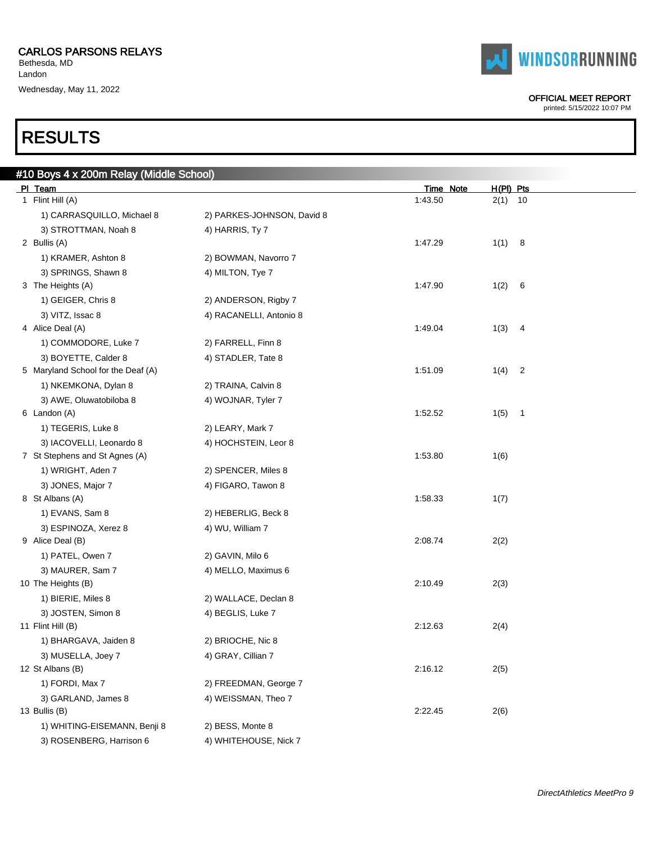$B = 10^{10}$   $(B + 12)$   $B = 200$ 

Bethesda, MD Landon Wednesday, May 11, 2022

# RESULTS

| # TO DOYS 4 X ZUUM Relay (Mildule School) |                            |           |                                 |  |
|-------------------------------------------|----------------------------|-----------|---------------------------------|--|
| PI Team                                   |                            | Time Note | $H(PI)$ Pts                     |  |
| 1 Flint Hill (A)                          |                            | 1:43.50   | 2(1)<br>10                      |  |
| 1) CARRASQUILLO, Michael 8                | 2) PARKES-JOHNSON, David 8 |           |                                 |  |
| 3) STROTTMAN, Noah 8                      | 4) HARRIS, Ty 7            |           |                                 |  |
| 2 Bullis (A)                              |                            | 1:47.29   | 1(1)<br>- 8                     |  |
| 1) KRAMER, Ashton 8                       | 2) BOWMAN, Navorro 7       |           |                                 |  |
| 3) SPRINGS, Shawn 8                       | 4) MILTON, Tye 7           |           |                                 |  |
| 3 The Heights (A)                         |                            | 1:47.90   | 1(2)<br>- 6                     |  |
| 1) GEIGER, Chris 8                        | 2) ANDERSON, Rigby 7       |           |                                 |  |
| 3) VITZ, Issac 8                          | 4) RACANELLI, Antonio 8    |           |                                 |  |
| 4 Alice Deal (A)                          |                            | 1:49.04   | 1(3)<br>4                       |  |
| 1) COMMODORE, Luke 7                      | 2) FARRELL, Finn 8         |           |                                 |  |
| 3) BOYETTE, Calder 8                      | 4) STADLER, Tate 8         |           |                                 |  |
| 5 Maryland School for the Deaf (A)        |                            | 1:51.09   | 1(4)<br>$\overline{c}$          |  |
| 1) NKEMKONA, Dylan 8                      | 2) TRAINA, Calvin 8        |           |                                 |  |
| 3) AWE, Oluwatobiloba 8                   | 4) WOJNAR, Tyler 7         |           |                                 |  |
| 6 Landon (A)                              |                            | 1:52.52   | 1(5)<br>$\overline{\mathbf{1}}$ |  |
| 1) TEGERIS, Luke 8                        | 2) LEARY, Mark 7           |           |                                 |  |
| 3) IACOVELLI, Leonardo 8                  | 4) HOCHSTEIN, Leor 8       |           |                                 |  |
| 7 St Stephens and St Agnes (A)            |                            | 1:53.80   | 1(6)                            |  |
| 1) WRIGHT, Aden 7                         | 2) SPENCER, Miles 8        |           |                                 |  |
| 3) JONES, Major 7                         | 4) FIGARO, Tawon 8         |           |                                 |  |
| 8 St Albans (A)                           |                            | 1:58.33   | 1(7)                            |  |
| 1) EVANS, Sam 8                           | 2) HEBERLIG, Beck 8        |           |                                 |  |
| 3) ESPINOZA, Xerez 8                      | 4) WU, William 7           |           |                                 |  |
| 9 Alice Deal (B)                          |                            | 2:08.74   | 2(2)                            |  |
| 1) PATEL, Owen 7                          | 2) GAVIN, Milo 6           |           |                                 |  |
| 3) MAURER, Sam 7                          | 4) MELLO, Maximus 6        |           |                                 |  |
| 10 The Heights (B)                        |                            | 2:10.49   | 2(3)                            |  |
| 1) BIERIE, Miles 8                        | 2) WALLACE, Declan 8       |           |                                 |  |
| 3) JOSTEN, Simon 8                        | 4) BEGLIS, Luke 7          |           |                                 |  |
| 11 Flint Hill (B)                         |                            | 2:12.63   | 2(4)                            |  |
| 1) BHARGAVA, Jaiden 8                     | 2) BRIOCHE, Nic 8          |           |                                 |  |
| 3) MUSELLA, Joey 7                        | 4) GRAY, Cillian 7         |           |                                 |  |
| 12 St Albans (B)                          |                            | 2:16.12   | 2(5)                            |  |
| 1) FORDI, Max 7                           | 2) FREEDMAN, George 7      |           |                                 |  |
| 3) GARLAND, James 8                       | 4) WEISSMAN, Theo 7        |           |                                 |  |
| 13 Bullis (B)                             |                            | 2:22.45   | 2(6)                            |  |
| 1) WHITING-EISEMANN, Benji 8              | 2) BESS, Monte 8           |           |                                 |  |
| 3) ROSENBERG, Harrison 6                  | 4) WHITEHOUSE, Nick 7      |           |                                 |  |
|                                           |                            |           |                                 |  |



#### OFFICIAL MEET REPORT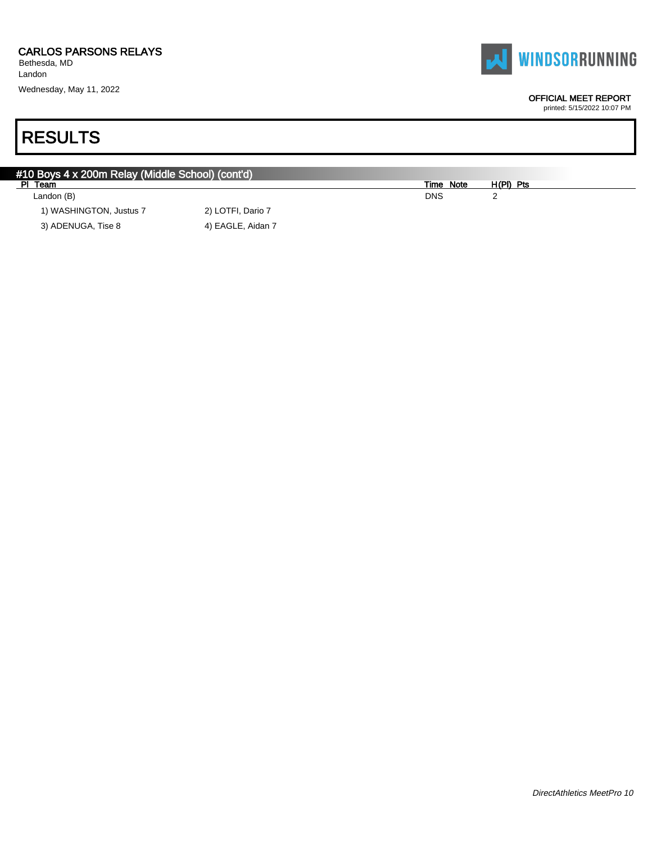Landon Wednesday, May 11, 2022

# RESULTS

| #10 Boys 4 x 200m Relay (Middle School) (cont'd) |                   |            |             |  |
|--------------------------------------------------|-------------------|------------|-------------|--|
| PI Team                                          |                   | Time Note  | $H(PI)$ Pts |  |
| Landon (B)                                       |                   | <b>DNS</b> |             |  |
| 1) WASHINGTON, Justus 7                          | 2) LOTFI, Dario 7 |            |             |  |
| 3) ADENUGA, Tise 8                               | 4) EAGLE, Aidan 7 |            |             |  |



OFFICIAL MEET REPORT printed: 5/15/2022 10:07 PM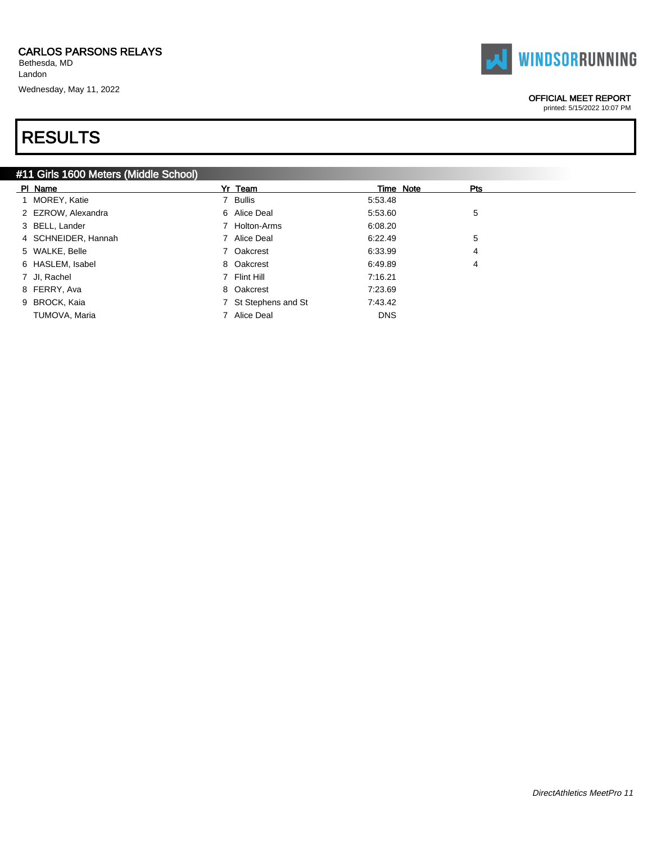Bethesda, MD Landon

Wednesday, May 11, 2022

# RESULTS

### #11 Girls 1600 Meters (Middle School)

| PI Name             | Yr Team              |            | Time Note | Pts |
|---------------------|----------------------|------------|-----------|-----|
| 1 MOREY, Katie      | 7 Bullis             | 5:53.48    |           |     |
| 2 EZROW, Alexandra  | 6 Alice Deal         | 5:53.60    |           | 5   |
| 3 BELL, Lander      | 7 Holton-Arms        | 6:08.20    |           |     |
| 4 SCHNEIDER, Hannah | 7 Alice Deal         | 6:22.49    |           | 5   |
| 5 WALKE, Belle      | 7 Oakcrest           | 6:33.99    |           | 4   |
| 6 HASLEM, Isabel    | 8 Oakcrest           | 6:49.89    |           | 4   |
| 7 Jl, Rachel        | 7 Flint Hill         | 7:16.21    |           |     |
| 8 FERRY, Ava        | 8 Oakcrest           | 7.23.69    |           |     |
| 9 BROCK, Kaia       | 7 St Stephens and St | 7:43.42    |           |     |
| TUMOVA, Maria       | 7 Alice Deal         | <b>DNS</b> |           |     |

# **WINDSORRUNNING**

OFFICIAL MEET REPORT printed: 5/15/2022 10:07 PM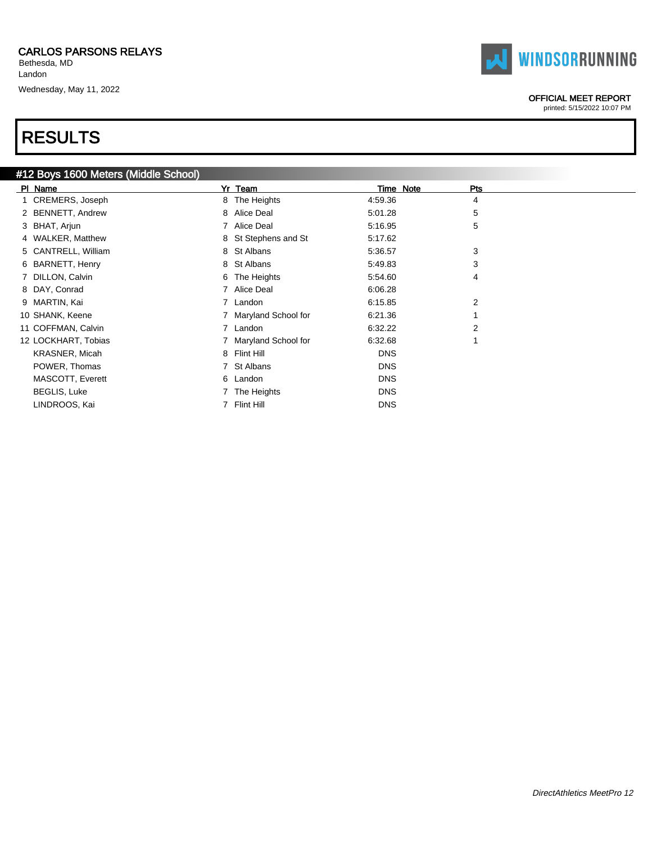Bethesda, MD Landon Wednesday, May 11, 2022

# RESULTS

|         | #12 Boys 1600 Meters (Middle School) |    |                       |            |           |                |
|---------|--------------------------------------|----|-----------------------|------------|-----------|----------------|
| PI Name |                                      | Yr | Team                  |            | Time Note | Pts            |
|         | 1 CREMERS, Joseph                    |    | 8 The Heights         | 4:59.36    |           | 4              |
|         | 2 BENNETT, Andrew                    |    | 8 Alice Deal          | 5:01.28    |           | 5              |
|         | 3 BHAT, Arjun                        |    | 7 Alice Deal          | 5:16.95    |           | 5              |
|         | 4 WALKER, Matthew                    |    | 8 St Stephens and St  | 5:17.62    |           |                |
|         | 5 CANTRELL, William                  |    | 8 St Albans           | 5:36.57    |           | 3              |
|         | 6 BARNETT, Henry                     |    | 8 St Albans           | 5:49.83    |           | 3              |
|         | 7 DILLON, Calvin                     |    | 6 The Heights         | 5:54.60    |           | 4              |
|         | 8 DAY, Conrad                        |    | 7 Alice Deal          | 6:06.28    |           |                |
|         | 9 MARTIN, Kai                        |    | 7 Landon              | 6:15.85    |           | $\overline{2}$ |
|         | 10 SHANK, Keene                      |    | 7 Maryland School for | 6:21.36    |           |                |
|         | 11 COFFMAN, Calvin                   |    | 7 Landon              | 6:32.22    |           | $\overline{2}$ |
|         | 12 LOCKHART, Tobias                  |    | 7 Maryland School for | 6:32.68    |           |                |
|         | <b>KRASNER, Micah</b>                |    | 8 Flint Hill          | <b>DNS</b> |           |                |
|         | POWER, Thomas                        |    | 7 St Albans           | <b>DNS</b> |           |                |
|         | MASCOTT, Everett                     |    | 6 Landon              | <b>DNS</b> |           |                |
|         | <b>BEGLIS, Luke</b>                  |    | 7 The Heights         | <b>DNS</b> |           |                |
|         | LINDROOS, Kai                        |    | 7 Flint Hill          | <b>DNS</b> |           |                |



#### OFFICIAL MEET REPORT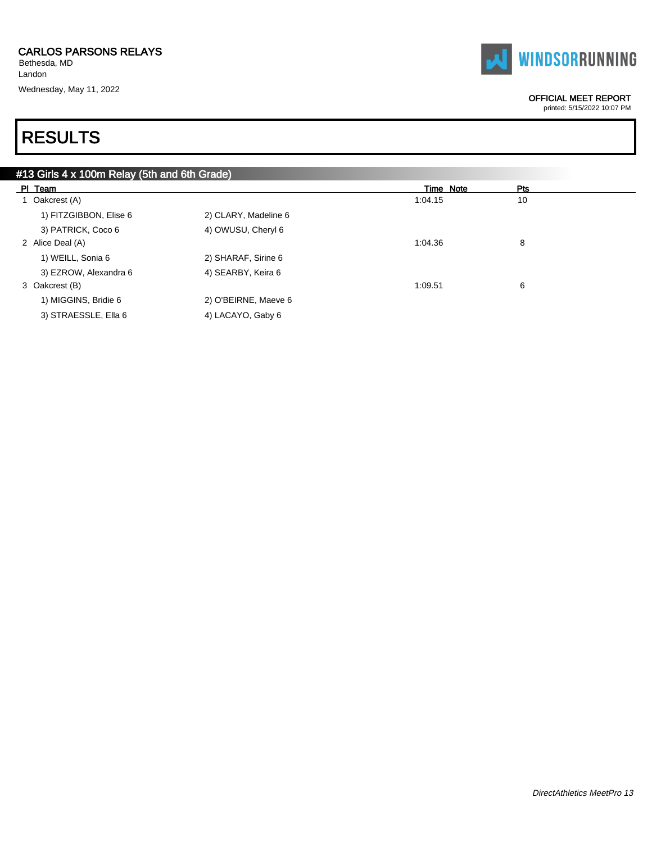Bethesda, MD Landon Wednesday, May 11, 2022



#### OFFICIAL MEET REPORT

printed: 5/15/2022 10:07 PM

| #13 Girls 4 x 100m Relay (5th and 6th Grade) |                      |           |     |  |  |  |  |  |  |
|----------------------------------------------|----------------------|-----------|-----|--|--|--|--|--|--|
| PI Team                                      |                      | Time Note | Pts |  |  |  |  |  |  |
| 1 Oakcrest (A)                               |                      | 1:04.15   | 10  |  |  |  |  |  |  |
| 1) FITZGIBBON, Elise 6                       | 2) CLARY, Madeline 6 |           |     |  |  |  |  |  |  |
| 3) PATRICK, Coco 6                           | 4) OWUSU, Cheryl 6   |           |     |  |  |  |  |  |  |
| 2 Alice Deal (A)                             |                      | 1:04.36   | 8   |  |  |  |  |  |  |
| 1) WEILL, Sonia 6                            | 2) SHARAF, Sirine 6  |           |     |  |  |  |  |  |  |
| 3) EZROW, Alexandra 6                        | 4) SEARBY, Keira 6   |           |     |  |  |  |  |  |  |
| 3 Oakcrest (B)                               |                      | 1:09.51   | 6   |  |  |  |  |  |  |
| 1) MIGGINS, Bridie 6                         | 2) O'BEIRNE, Maeve 6 |           |     |  |  |  |  |  |  |
| 3) STRAESSLE, Ella 6                         | 4) LACAYO, Gaby 6    |           |     |  |  |  |  |  |  |
|                                              |                      |           |     |  |  |  |  |  |  |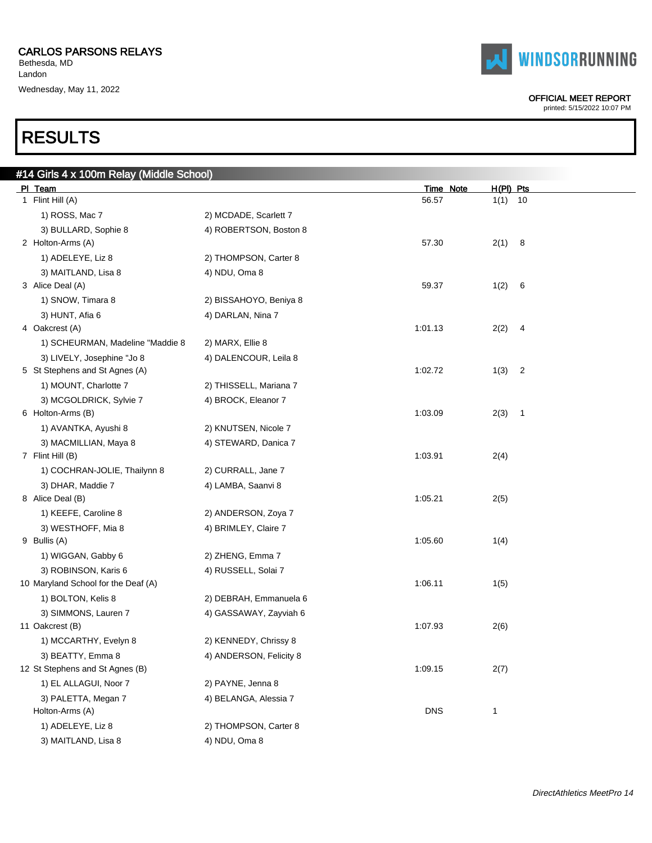Bethesda, MD Landon Wednesday, May 11, 2022

# RESULTS

 $#14$ 

| #14 Girls 4 x 100m Relay (Middle School)<br>PI Team |                         | Time Note  | $H(PI)$ Pts            |
|-----------------------------------------------------|-------------------------|------------|------------------------|
| 1 Flint Hill (A)                                    |                         | 56.57      | 1(1)<br>10             |
| 1) ROSS, Mac 7                                      | 2) MCDADE, Scarlett 7   |            |                        |
| 3) BULLARD, Sophie 8                                | 4) ROBERTSON, Boston 8  |            |                        |
| 2 Holton-Arms (A)                                   |                         | 57.30      | 2(1)<br>8              |
| 1) ADELEYE, Liz 8                                   | 2) THOMPSON, Carter 8   |            |                        |
| 3) MAITLAND, Lisa 8                                 | 4) NDU, Oma 8           |            |                        |
| 3 Alice Deal (A)                                    |                         | 59.37      | 1(2)<br>6              |
| 1) SNOW, Timara 8                                   | 2) BISSAHOYO, Beniya 8  |            |                        |
| 3) HUNT, Afia 6                                     | 4) DARLAN, Nina 7       |            |                        |
| 4 Oakcrest (A)                                      |                         | 1:01.13    | 2(2)<br>4              |
| 1) SCHEURMAN, Madeline "Maddie 8                    | 2) MARX, Ellie 8        |            |                        |
| 3) LIVELY, Josephine "Jo 8                          | 4) DALENCOUR, Leila 8   |            |                        |
| 5 St Stephens and St Agnes (A)                      |                         | 1:02.72    | 1(3)<br>2              |
| 1) MOUNT, Charlotte 7                               | 2) THISSELL, Mariana 7  |            |                        |
| 3) MCGOLDRICK, Sylvie 7                             | 4) BROCK, Eleanor 7     |            |                        |
| 6 Holton-Arms (B)                                   |                         | 1:03.09    | 2(3)<br>$\overline{1}$ |
| 1) AVANTKA, Ayushi 8                                | 2) KNUTSEN, Nicole 7    |            |                        |
| 3) MACMILLIAN, Maya 8                               | 4) STEWARD, Danica 7    |            |                        |
| 7 Flint Hill (B)                                    |                         | 1:03.91    | 2(4)                   |
| 1) COCHRAN-JOLIE, Thailynn 8                        | 2) CURRALL, Jane 7      |            |                        |
| 3) DHAR, Maddie 7                                   | 4) LAMBA, Saanvi 8      |            |                        |
| 8 Alice Deal (B)                                    |                         | 1:05.21    | 2(5)                   |
| 1) KEEFE, Caroline 8                                | 2) ANDERSON, Zoya 7     |            |                        |
| 3) WESTHOFF, Mia 8                                  | 4) BRIMLEY, Claire 7    |            |                        |
| 9 Bullis (A)                                        |                         | 1:05.60    | 1(4)                   |
| 1) WIGGAN, Gabby 6                                  | 2) ZHENG, Emma 7        |            |                        |
| 3) ROBINSON, Karis 6                                | 4) RUSSELL, Solai 7     |            |                        |
| 10 Maryland School for the Deaf (A)                 |                         | 1:06.11    | 1(5)                   |
| 1) BOLTON, Kelis 8                                  | 2) DEBRAH, Emmanuela 6  |            |                        |
| 3) SIMMONS, Lauren 7                                | 4) GASSAWAY, Zayviah 6  |            |                        |
| 11 Oakcrest (B)                                     |                         | 1:07.93    | 2(6)                   |
| 1) MCCARTHY, Evelyn 8                               | 2) KENNEDY, Chrissy 8   |            |                        |
| 3) BEATTY, Emma 8                                   | 4) ANDERSON, Felicity 8 |            |                        |
| 12 St Stephens and St Agnes (B)                     |                         | 1:09.15    | 2(7)                   |
| 1) EL ALLAGUI, Noor 7                               | 2) PAYNE, Jenna 8       |            |                        |
| 3) PALETTA, Megan 7                                 | 4) BELANGA, Alessia 7   |            |                        |
| Holton-Arms (A)                                     |                         | <b>DNS</b> | 1                      |
| 1) ADELEYE, Liz 8                                   | 2) THOMPSON, Carter 8   |            |                        |

3) MAITLAND, Lisa 8 4) NDU, Oma 8



### OFFICIAL MEET REPORT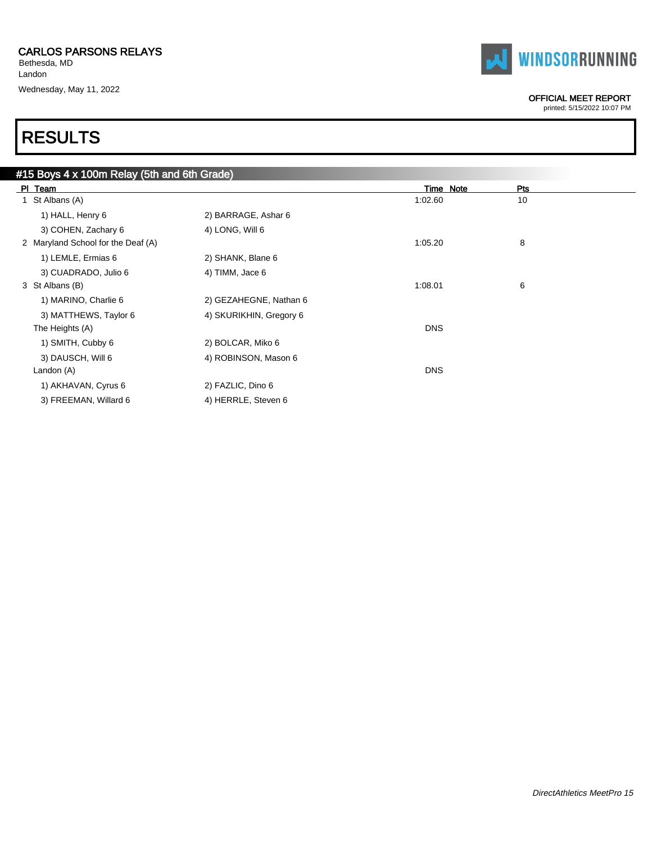Bethesda, MD Landon Wednesday, May 11, 2022



### OFFICIAL MEET REPORT

printed: 5/15/2022 10:07 PM

| #15 Boys 4 x 100m Relay (5th and 6th Grade) |                         |            |           |     |
|---------------------------------------------|-------------------------|------------|-----------|-----|
| PI Team                                     |                         |            | Time Note | Pts |
| St Albans (A)                               |                         | 1:02.60    |           | 10  |
| 1) HALL, Henry 6                            | 2) BARRAGE, Ashar 6     |            |           |     |
| 3) COHEN, Zachary 6                         | 4) LONG, Will 6         |            |           |     |
| 2 Maryland School for the Deaf (A)          |                         | 1:05.20    |           | 8   |
| 1) LEMLE, Ermias 6                          | 2) SHANK, Blane 6       |            |           |     |
| 3) CUADRADO, Julio 6                        | 4) TIMM, Jace 6         |            |           |     |
| 3 St Albans (B)                             |                         | 1:08.01    |           | 6   |
| 1) MARINO, Charlie 6                        | 2) GEZAHEGNE, Nathan 6  |            |           |     |
| 3) MATTHEWS, Taylor 6                       | 4) SKURIKHIN, Gregory 6 |            |           |     |
| The Heights (A)                             |                         | <b>DNS</b> |           |     |
| 1) SMITH, Cubby 6                           | 2) BOLCAR, Miko 6       |            |           |     |
| 3) DAUSCH, Will 6                           | 4) ROBINSON, Mason 6    |            |           |     |
| Landon (A)                                  |                         | <b>DNS</b> |           |     |
| 1) AKHAVAN, Cyrus 6                         | 2) FAZLIC, Dino 6       |            |           |     |
| 3) FREEMAN, Willard 6                       | 4) HERRLE, Steven 6     |            |           |     |
|                                             |                         |            |           |     |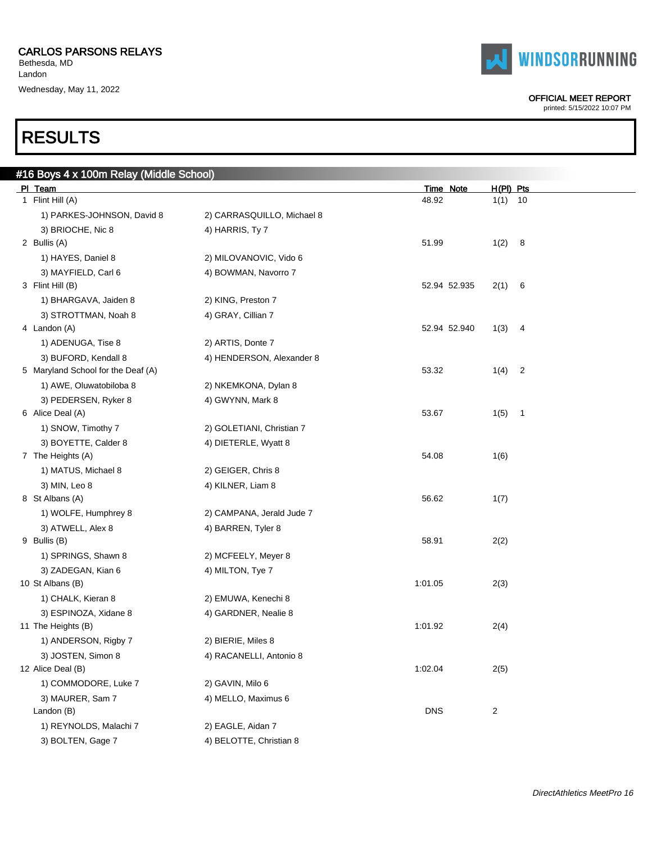Bethesda, MD Landon Wednesday, May 11, 2022

# RESULTS

| #16 Boys 4 x 100m Relay (Middle School) |                            |              |                        |
|-----------------------------------------|----------------------------|--------------|------------------------|
| PI Team                                 |                            | Time Note    | $H(PI)$ Pts            |
| 1 Flint Hill (A)                        |                            | 48.92        | $1(1)$ 10              |
| 1) PARKES-JOHNSON, David 8              | 2) CARRASQUILLO, Michael 8 |              |                        |
| 3) BRIOCHE, Nic 8                       | 4) HARRIS, Ty 7            |              |                        |
| 2 Bullis (A)                            |                            | 51.99        | 1(2) 8                 |
| 1) HAYES, Daniel 8                      | 2) MILOVANOVIC, Vido 6     |              |                        |
| 3) MAYFIELD, Carl 6                     | 4) BOWMAN, Navorro 7       |              |                        |
| 3 Flint Hill (B)                        |                            | 52.94 52.935 | 2(1)<br>- 6            |
| 1) BHARGAVA, Jaiden 8                   | 2) KING, Preston 7         |              |                        |
| 3) STROTTMAN, Noah 8                    | 4) GRAY, Cillian 7         |              |                        |
| 4 Landon (A)                            |                            | 52.94 52.940 | 1(3)<br>$\overline{4}$ |
| 1) ADENUGA, Tise 8                      | 2) ARTIS, Donte 7          |              |                        |
| 3) BUFORD, Kendall 8                    | 4) HENDERSON, Alexander 8  |              |                        |
| 5 Maryland School for the Deaf (A)      |                            | 53.32        | $1(4)$ 2               |
| 1) AWE, Oluwatobiloba 8                 | 2) NKEMKONA, Dylan 8       |              |                        |
| 3) PEDERSEN, Ryker 8                    | 4) GWYNN, Mark 8           |              |                        |
| 6 Alice Deal (A)                        |                            | 53.67        | 1(5)<br>$\overline{1}$ |
| 1) SNOW, Timothy 7                      | 2) GOLETIANI, Christian 7  |              |                        |
| 3) BOYETTE, Calder 8                    | 4) DIETERLE, Wyatt 8       |              |                        |
| 7 The Heights (A)                       |                            | 54.08        | 1(6)                   |
| 1) MATUS, Michael 8                     | 2) GEIGER, Chris 8         |              |                        |
| 3) MIN, Leo 8                           | 4) KILNER, Liam 8          |              |                        |
| 8 St Albans (A)                         |                            | 56.62        | 1(7)                   |
| 1) WOLFE, Humphrey 8                    | 2) CAMPANA, Jerald Jude 7  |              |                        |
| 3) ATWELL, Alex 8                       | 4) BARREN, Tyler 8         |              |                        |
| 9 Bullis (B)                            |                            | 58.91        | 2(2)                   |
| 1) SPRINGS, Shawn 8                     | 2) MCFEELY, Meyer 8        |              |                        |
| 3) ZADEGAN, Kian 6                      | 4) MILTON, Tye 7           |              |                        |
| 10 St Albans (B)                        |                            | 1:01.05      | 2(3)                   |
| 1) CHALK, Kieran 8                      | 2) EMUWA, Kenechi 8        |              |                        |
| 3) ESPINOZA, Xidane 8                   | 4) GARDNER, Nealie 8       |              |                        |
| 11 The Heights (B)                      |                            | 1:01.92      | 2(4)                   |
| 1) ANDERSON, Rigby 7                    | 2) BIERIE, Miles 8         |              |                        |
| 3) JOSTEN, Simon 8                      | 4) RACANELLI, Antonio 8    |              |                        |
| 12 Alice Deal (B)                       |                            | 1:02.04      | 2(5)                   |
| 1) COMMODORE, Luke 7                    | 2) GAVIN, Milo 6           |              |                        |
| 3) MAURER, Sam 7                        | 4) MELLO, Maximus 6        |              |                        |
| Landon (B)                              |                            | <b>DNS</b>   | 2                      |
| 1) REYNOLDS, Malachi 7                  | 2) EAGLE, Aidan 7          |              |                        |
| 3) BOLTEN, Gage 7                       | 4) BELOTTE, Christian 8    |              |                        |



#### OFFICIAL MEET REPORT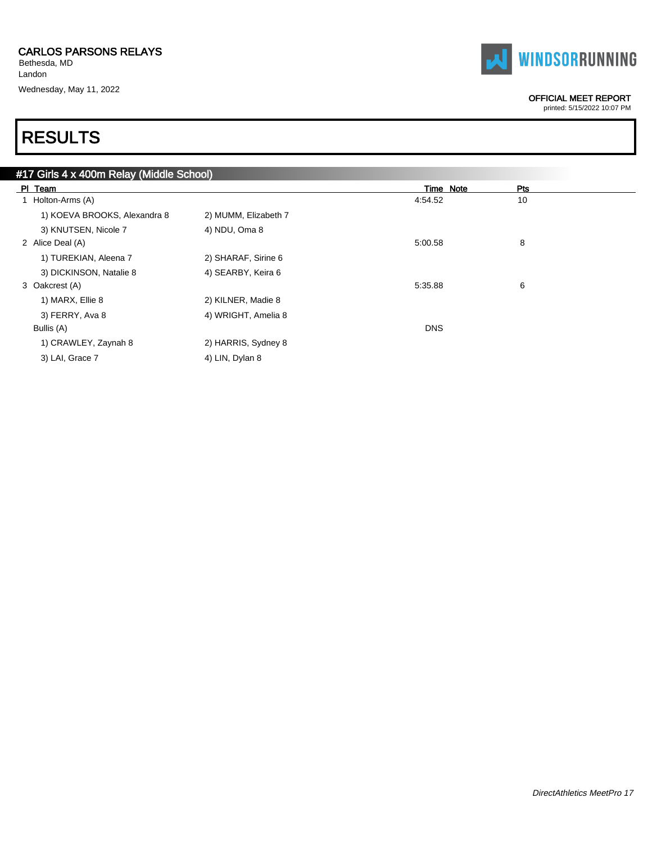Bethesda, MD Landon

Wednesday, May 11, 2022



#### OFFICIAL MEET REPORT

printed: 5/15/2022 10:07 PM

| #17 Girls 4 x 400m Relay (Middle School) |                      |            |     |
|------------------------------------------|----------------------|------------|-----|
| PI Team                                  |                      | Time Note  | Pts |
| 1 Holton-Arms (A)                        |                      | 4:54.52    | 10  |
| 1) KOEVA BROOKS, Alexandra 8             | 2) MUMM, Elizabeth 7 |            |     |
| 3) KNUTSEN, Nicole 7                     | 4) NDU, Oma 8        |            |     |
| 2 Alice Deal (A)                         |                      | 5:00.58    | 8   |
| 1) TUREKIAN, Aleena 7                    | 2) SHARAF, Sirine 6  |            |     |
| 3) DICKINSON, Natalie 8                  | 4) SEARBY, Keira 6   |            |     |
| 3 Oakcrest (A)                           |                      | 5:35.88    | 6   |
| 1) MARX, Ellie 8                         | 2) KILNER, Madie 8   |            |     |
| 3) FERRY, Ava 8                          | 4) WRIGHT, Amelia 8  |            |     |
| Bullis (A)                               |                      | <b>DNS</b> |     |
| 1) CRAWLEY, Zaynah 8                     | 2) HARRIS, Sydney 8  |            |     |
| 3) LAI, Grace 7                          | 4) LIN, Dylan 8      |            |     |
|                                          |                      |            |     |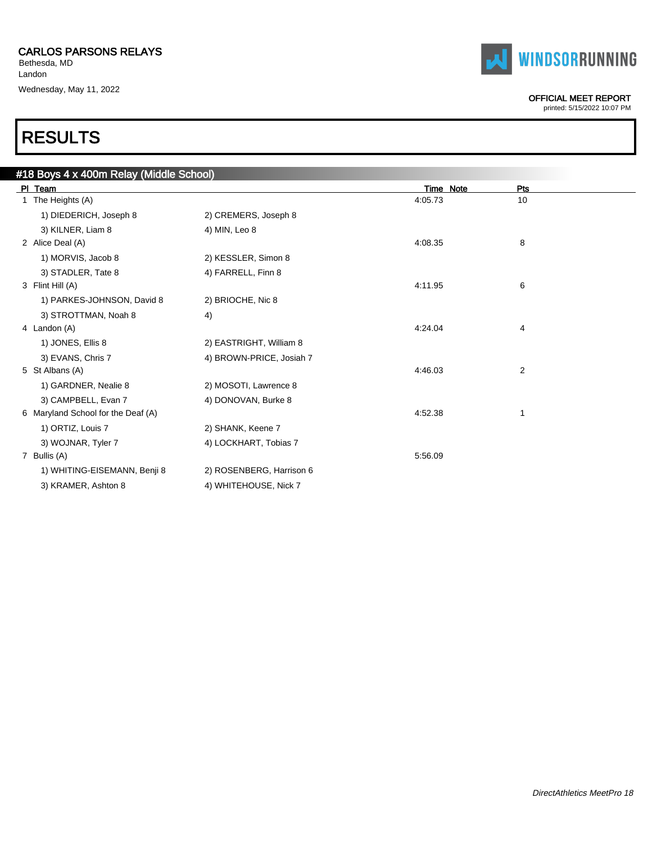Bethesda, MD Landon Wednesday, May 11, 2022



| <b>TAI WINDSORRUNNING</b> |
|---------------------------|
|---------------------------|

### OFFICIAL MEET REPORT

printed: 5/15/2022 10:07 PM

 $\overline{\phantom{0}}$ 

| #18 Boys 4 x 400m Relay (Middle School) |                          |           |     |  |
|-----------------------------------------|--------------------------|-----------|-----|--|
| PI Team                                 |                          | Time Note | Pts |  |
| 1 The Heights (A)                       |                          | 4:05.73   | 10  |  |
| 1) DIEDERICH, Joseph 8                  | 2) CREMERS, Joseph 8     |           |     |  |
| 3) KILNER, Liam 8                       | 4) MIN, Leo 8            |           |     |  |
| 2 Alice Deal (A)                        |                          | 4:08.35   | 8   |  |
| 1) MORVIS, Jacob 8                      | 2) KESSLER, Simon 8      |           |     |  |
| 3) STADLER, Tate 8                      | 4) FARRELL, Finn 8       |           |     |  |
| 3 Flint Hill (A)                        |                          | 4:11.95   | 6   |  |
| 1) PARKES-JOHNSON, David 8              | 2) BRIOCHE, Nic 8        |           |     |  |
| 3) STROTTMAN, Noah 8                    | 4)                       |           |     |  |
| 4 Landon (A)                            |                          | 4:24.04   | 4   |  |
| 1) JONES, Ellis 8                       | 2) EASTRIGHT, William 8  |           |     |  |
| 3) EVANS, Chris 7                       | 4) BROWN-PRICE, Josiah 7 |           |     |  |
| 5 St Albans (A)                         |                          | 4:46.03   | 2   |  |
| 1) GARDNER, Nealie 8                    | 2) MOSOTI, Lawrence 8    |           |     |  |
| 3) CAMPBELL, Evan 7                     | 4) DONOVAN, Burke 8      |           |     |  |
| 6 Maryland School for the Deaf (A)      |                          | 4:52.38   | 1   |  |
| 1) ORTIZ, Louis 7                       | 2) SHANK, Keene 7        |           |     |  |
| 3) WOJNAR, Tyler 7                      | 4) LOCKHART, Tobias 7    |           |     |  |
| 7 Bullis (A)                            |                          | 5:56.09   |     |  |
| 1) WHITING-EISEMANN, Benji 8            | 2) ROSENBERG, Harrison 6 |           |     |  |
| 3) KRAMER, Ashton 8                     | 4) WHITEHOUSE, Nick 7    |           |     |  |
|                                         |                          |           |     |  |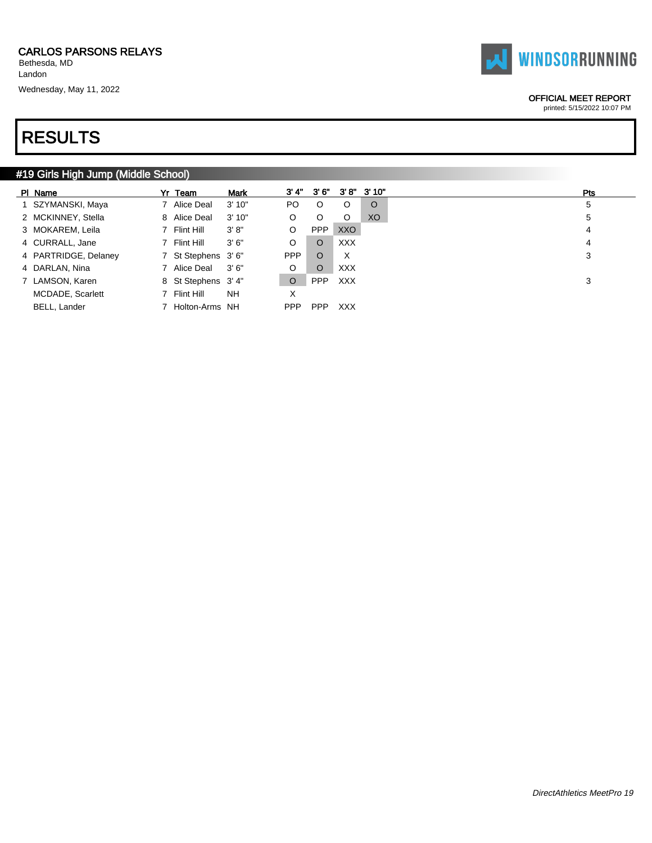# RESULTS

### #19 Girls High Jump (Middle School)

| PI Name              | Yr Team             | <b>Mark</b> | 3' 4"   | 3' 6"      |            | $3'8''$ $3'10''$ | <b>Pts</b> |
|----------------------|---------------------|-------------|---------|------------|------------|------------------|------------|
| 1 SZYMANSKI, Maya    | 7 Alice Deal        | 3'10''      | PO.     | $\circ$    | $\circ$    | $\circ$          | 5          |
| 2 MCKINNEY, Stella   | 8 Alice Deal        | 3'10"       | O       | O          | $\circ$    | XO.              | 5          |
| 3 MOKAREM, Leila     | 7 Flint Hill        | 3' 8''      | O       | <b>PPP</b> | XXO        |                  | 4          |
| 4 CURRALL, Jane      | 7 Flint Hill        | 3'6''       | O       | $\circ$    | <b>XXX</b> |                  | 4          |
| 4 PARTRIDGE, Delaney | 7 St Stephens 3'6"  |             | PPP     | $\circ$    | X          |                  | 3          |
| 4 DARLAN, Nina       | 7 Alice Deal        | 3'6''       | O       | O          | <b>XXX</b> |                  |            |
| 7 LAMSON, Karen      | 8 St Stephens 3' 4" |             | $\circ$ | <b>PPP</b> | <b>XXX</b> |                  | 3          |
| MCDADE, Scarlett     | 7 Flint Hill        | <b>NH</b>   | X       |            |            |                  |            |
| <b>BELL, Lander</b>  | Holton-Arms NH      |             | PPP.    | <b>PPP</b> | <b>XXX</b> |                  |            |



### OFFICIAL MEET REPORT printed: 5/15/2022 10:07 PM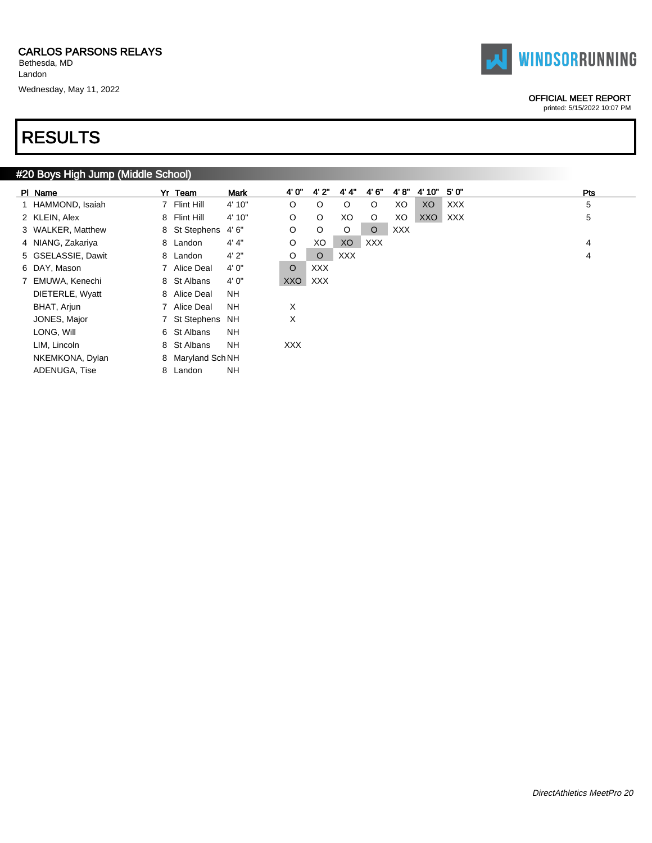Landon Wednesday, May 11, 2022



### OFFICIAL MEET REPORT

printed: 5/15/2022 10:07 PM

### RESULTS

### #20 Boys High Jump (Middle School)

| PI Name            | Yr Team            | <b>Mark</b> | 4' 0"      | 4'2"       | 4' 4"      | 4'6"       | 4'8''      | 4' 10" | 5' 0"      | <b>Pts</b> |
|--------------------|--------------------|-------------|------------|------------|------------|------------|------------|--------|------------|------------|
| 1 HAMMOND, Isaiah  | 7 Flint Hill       | 4' 10"      | $\circ$    | $\circ$    | $\circ$    | $\circ$    | XO         | XO     | <b>XXX</b> | 5          |
| 2 KLEIN, Alex      | 8 Flint Hill       | 4' 10"      | O          | $\circ$    | XO         | $\circ$    | XO         | XXO    | XXX        | 5          |
| 3 WALKER, Matthew  | 8 St Stephens 4'6" |             | O          | $\circ$    | $\circ$    | $\circ$    | <b>XXX</b> |        |            |            |
| 4 NIANG, Zakariya  | 8 Landon           | 4' 4"       | O          | XO         | XO         | <b>XXX</b> |            |        |            | 4          |
| 5 GSELASSIE, Dawit | 8 Landon           | 4'2"        | O          | $\circ$    | <b>XXX</b> |            |            |        |            | 4          |
| 6 DAY, Mason       | 7 Alice Deal       | 4' 0"       | $\circ$    | <b>XXX</b> |            |            |            |        |            |            |
| 7 EMUWA, Kenechi   | 8 St Albans        | 4' 0"       | XXO        | <b>XXX</b> |            |            |            |        |            |            |
| DIETERLE, Wyatt    | 8 Alice Deal       | NH.         |            |            |            |            |            |        |            |            |
| BHAT, Arjun        | 7 Alice Deal       | NH          | X          |            |            |            |            |        |            |            |
| JONES, Major       | 7 St Stephens NH   |             | Χ          |            |            |            |            |        |            |            |
| LONG, Will         | 6 St Albans        | NH          |            |            |            |            |            |        |            |            |
| LIM, Lincoln       | 8 St Albans        | <b>NH</b>   | <b>XXX</b> |            |            |            |            |        |            |            |
| NKEMKONA, Dylan    | 8 Maryland Sch NH  |             |            |            |            |            |            |        |            |            |
| ADENUGA, Tise      | 8 Landon           | <b>NH</b>   |            |            |            |            |            |        |            |            |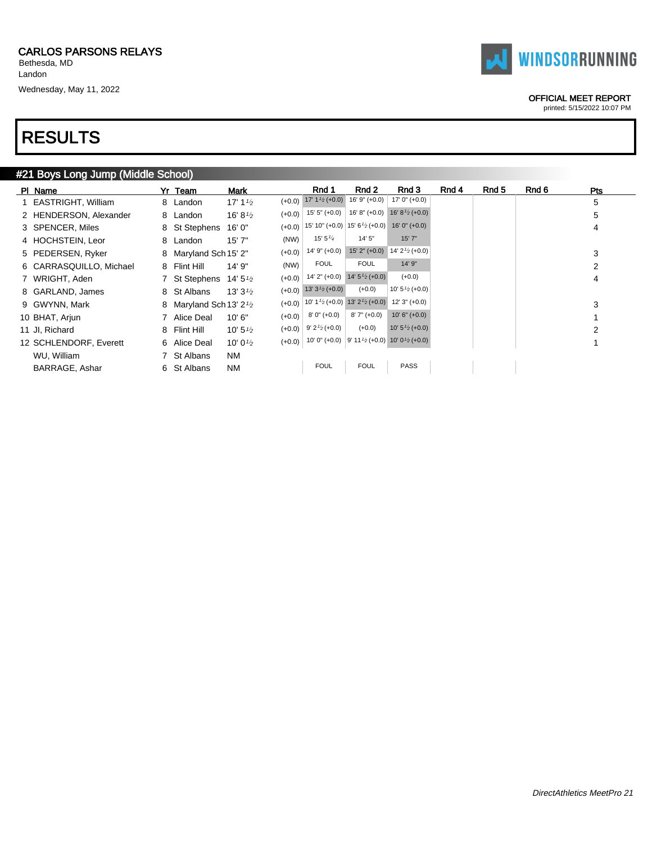# RESULTS

### #21 Boys Long Jump (Middle School)

| PI Name                 | Yr Team                                          | <b>Mark</b>         |          | Rnd 1                                                                                      | Rnd 2            | Rnd 3                                                                                                          | Rnd 4 | Rnd 5 | Rnd 6 | Pts |
|-------------------------|--------------------------------------------------|---------------------|----------|--------------------------------------------------------------------------------------------|------------------|----------------------------------------------------------------------------------------------------------------|-------|-------|-------|-----|
| 1 EASTRIGHT, William    | 8 Landon                                         | 17' $1\frac{1}{2}$  |          | $(+0.0)$ 17' 1 <sup>1</sup> / <sub>2</sub> (+0.0)                                          | $16'9'' (+0.0)$  | $17'0'' (+0.0)$                                                                                                |       |       |       | 5   |
| 2 HENDERSON, Alexander  | 8 Landon                                         | 16' 8 $\frac{1}{2}$ |          | $(+0.0)$ 15' 5" $(+0.0)$                                                                   | $16' 8'' (+0.0)$ | 16' 8 $\frac{1}{2}$ (+0.0)                                                                                     |       |       |       | 5   |
| 3 SPENCER, Miles        | 8 St Stephens                                    | 16'0''              |          | $(+0.0)$ 15' 10" $(+0.0)$ 15' 6 <sup>1</sup> / <sub>2</sub> $(+0.0)$ 16' 0" $(+0.0)$       |                  |                                                                                                                |       |       |       | 4   |
| 4 HOCHSTEIN, Leor       | 8 Landon                                         | 15'7''              | (NW)     | 15' 5 $\frac{1}{4}$                                                                        | 14'5''           | 15'7"                                                                                                          |       |       |       |     |
| 5 PEDERSEN, Ryker       | 8 Maryland Sch 15' 2"                            |                     | $(+0.0)$ | $14'9' (+0.0)$                                                                             |                  | 15' 2" (+0.0) 14' $2\frac{1}{2}$ (+0.0)                                                                        |       |       |       | 3   |
| 6 CARRASQUILLO, Michael | 8 Flint Hill                                     | 14' 9"              | (NW)     | <b>FOUL</b>                                                                                | <b>FOUL</b>      | 14'9''                                                                                                         |       |       |       | 2   |
| 7 WRIGHT, Aden          | 7 St Stephens                                    | 14' 5 $\frac{1}{2}$ |          | $(+0.0)$ 14' 2" $(+0.0)$ 14' $5\frac{1}{2}$ $(+0.0)$                                       |                  | $(+0.0)$                                                                                                       |       |       |       | 4   |
| 8 GARLAND, James        | 8 St Albans                                      | 13' $3\frac{1}{2}$  |          | $(+0.0)$ 13' 3 <sup>1</sup> / <sub>2</sub> (+0.0)                                          | $(+0.0)$         | 10' $5\frac{1}{2}$ (+0.0)                                                                                      |       |       |       |     |
| 9 GWYNN, Mark           | 8 Maryland Sch 13' 2 <sup>1</sup> / <sub>2</sub> |                     |          | $(+0.0)$ 10' 1 <sup>1</sup> / <sub>2</sub> (+0.0) 13' 2 <sup>1</sup> / <sub>2</sub> (+0.0) |                  | $12'3' (+0.0)$                                                                                                 |       |       |       | 3   |
| 10 BHAT, Arjun          | 7 Alice Deal                                     | 10'6"               | $(+0.0)$ | 8' 0" (+0.0)                                                                               | $8'7'' (+0.0)$   | $10' 6'' (+0.0)$                                                                                               |       |       |       |     |
| 11 Jl, Richard          | 8 Flint Hill                                     | 10' 5 $\frac{1}{2}$ |          | $(+0.0)$ 9' 2 <sup>1</sup> / <sub>2</sub> (+0.0)                                           | $(+0.0)$         | 10' $5\frac{1}{2}$ (+0.0)                                                                                      |       |       |       | 2   |
| 12 SCHLENDORF, Everett  | 6 Alice Deal                                     | 10' 0 $\frac{1}{2}$ |          |                                                                                            |                  | $(+0.0)$ 10' 0" $(+0.0)$ 9' 11 <sup>1</sup> / <sub>2</sub> $(+0.0)$ 10' 0 <sup>1</sup> / <sub>2</sub> $(+0.0)$ |       |       |       |     |
| WU, William             | 7 St Albans                                      | NM                  |          |                                                                                            |                  |                                                                                                                |       |       |       |     |
| BARRAGE, Ashar          | 6 St Albans                                      | NM                  |          | <b>FOUL</b>                                                                                | <b>FOUL</b>      | <b>PASS</b>                                                                                                    |       |       |       |     |



### OFFICIAL MEET REPORT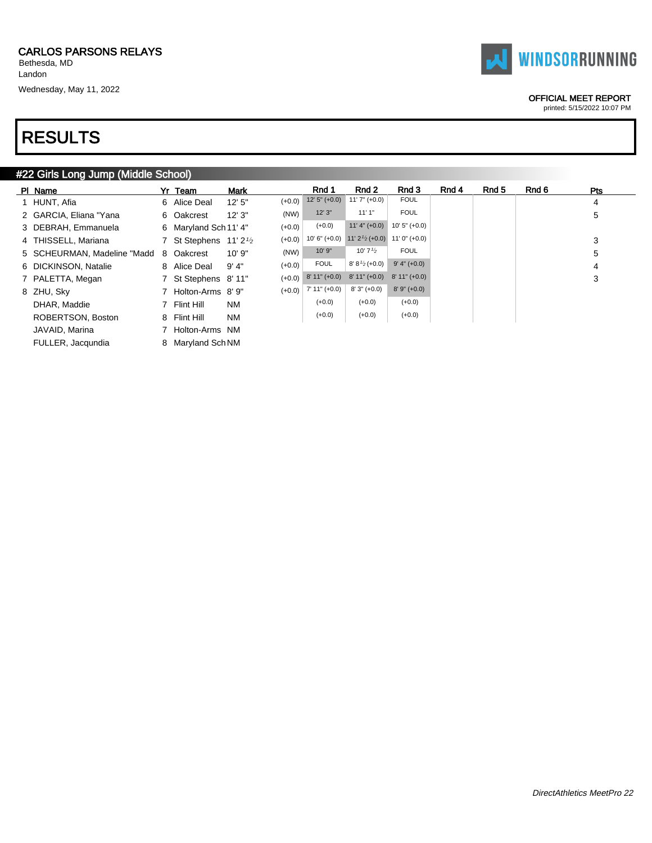# RESULTS

### #22 Girls Long Jump (Middle School)

| PI Name                     | Yr Team               | Mark      |          | Rnd 1          | Rnd 2                                            | Rnd 3           | Rnd 4 | Rnd 5 | Rnd 6 | Pts |
|-----------------------------|-----------------------|-----------|----------|----------------|--------------------------------------------------|-----------------|-------|-------|-------|-----|
| 1 HUNT, Afia                | 6 Alice Deal          | 12'5''    | $(+0.0)$ | $12'5''(+0.0)$ | $11'7'' (+0.0)$                                  | FOUL            |       |       |       | 4   |
| 2 GARCIA, Eliana "Yana      | 6 Oakcrest            | 12'3''    | (NW)     | 12'3''         | 11'1"                                            | <b>FOUL</b>     |       |       |       | 5   |
| 3 DEBRAH, Emmanuela         | 6 Maryland Sch 11' 4" |           | $(+0.0)$ | $(+0.0)$       | $11' 4'' (+0.0)$                                 | $10'5'' (+0.0)$ |       |       |       |     |
| 4 THISSELL, Mariana         | 7 St Stephens $11'2'$ |           | $(+0.0)$ |                | 10' 6" (+0.0) 11' $2^{1/2}$ (+0.0) 11' 0" (+0.0) |                 |       |       |       | 3   |
| 5 SCHEURMAN, Madeline "Madd | 8 Oakcrest            | 10'9''    | (NW)     | 10' 9"         | 10' $7\frac{1}{2}$                               | <b>FOUL</b>     |       |       |       | 5   |
| 6 DICKINSON, Natalie        | 8 Alice Deal          | 9'4"      | $(+0.0)$ | <b>FOUL</b>    | $8' 8'2$ (+0.0)                                  | $9' 4'' (+0.0)$ |       |       |       | 4   |
| 7 PALETTA, Megan            | 7 St Stephens 8'11"   |           | $(+0.0)$ | $8'11''(+0.0)$ | $8'11''(+0.0)$                                   | $8'11''(+0.0)$  |       |       |       | 3   |
| 8 ZHU, Sky                  | 7 Holton-Arms 8'9"    |           | $(+0.0)$ | 7' 11" (+0.0)  | $8'3''(+0.0)$                                    | $8'9''(+0.0)$   |       |       |       |     |
| DHAR, Maddie                | 7 Flint Hill          | <b>NM</b> |          | $(+0.0)$       | $(+0.0)$                                         | $(+0.0)$        |       |       |       |     |
| ROBERTSON, Boston           | 8 Flint Hill          | <b>NM</b> |          | $(+0.0)$       | $(+0.0)$                                         | $(+0.0)$        |       |       |       |     |
| JAVAID, Marina              | 7 Holton-Arms NM      |           |          |                |                                                  |                 |       |       |       |     |
| FULLER, Jacqundia           | 8 Maryland Sch NM     |           |          |                |                                                  |                 |       |       |       |     |

OFFICIAL MEET REPORT

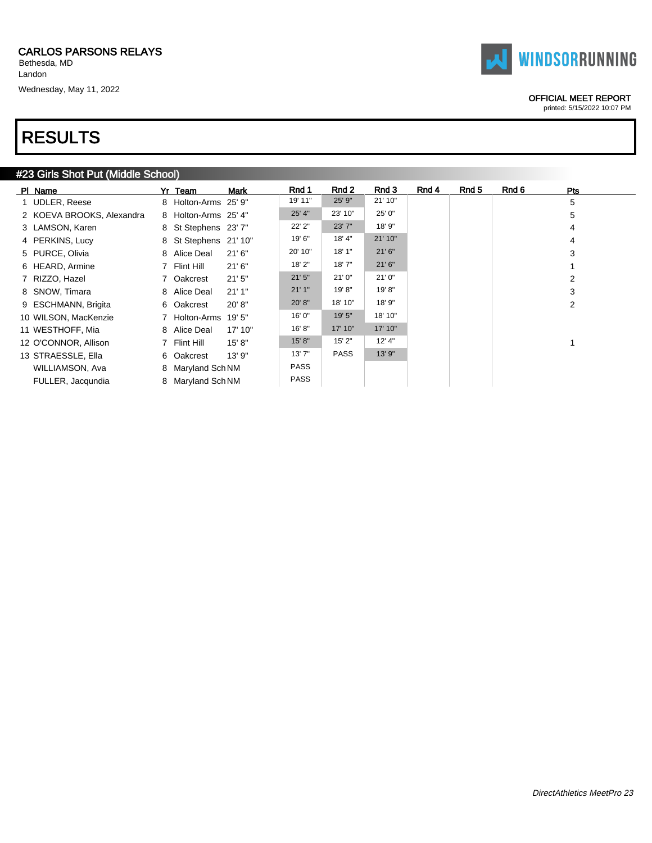# RESULTS

### #23 Girls Shot Put (Middle School)

| PI Name                   | Yr Team               | <b>Mark</b> | Rnd 1       | Rnd 2       | Rnd 3    | Rnd 4 | Rnd 5 | Rnd 6 | <b>Pts</b> |
|---------------------------|-----------------------|-------------|-------------|-------------|----------|-------|-------|-------|------------|
| 1 UDLER, Reese            | 8 Holton-Arms 25' 9"  |             | 19' 11"     | 25' 9"      | 21' 10"  |       |       |       | 5          |
| 2 KOEVA BROOKS, Alexandra | 8 Holton-Arms 25' 4"  |             | 25' 4"      | 23' 10"     | 25' 0"   |       |       |       | 5          |
| 3 LAMSON, Karen           | 8 St Stephens 23'7"   |             | 22' 2"      | 23' 7"      | 18' 9"   |       |       |       | 4          |
| 4 PERKINS, Lucy           | 8 St Stephens 21' 10" |             | 19' 6"      | 18' 4"      | 21' 10"  |       |       |       | 4          |
| 5 PURCE, Olivia           | 8 Alice Deal          | 21'6''      | 20' 10"     | 18'1"       | 21'6''   |       |       |       | 3          |
| 6 HEARD, Armine           | 7 Flint Hill          | 21'6''      | 18' 2"      | 18'7"       | 21'6''   |       |       |       |            |
| 7 RIZZO, Hazel            | 7 Oakcrest            | 21'5''      | 21'5''      | 21'0''      | 21'0''   |       |       |       | 2          |
| 8 SNOW, Timara            | 8 Alice Deal          | 21'1"       | 21'1''      | 19'8"       | 19' 8"   |       |       |       | 3          |
| 9 ESCHMANN, Brigita       | 6 Oakcrest            | 20' 8''     | 20' 8"      | 18' 10"     | 18' 9"   |       |       |       | 2          |
| 10 WILSON, MacKenzie      | 7 Holton-Arms 19'5"   |             | 16' 0"      | 19' 5"      | 18' 10"  |       |       |       |            |
| 11 WESTHOFF, Mia          | 8 Alice Deal          | 17' 10"     | 16'8"       | 17' 10"     | 17' 10"  |       |       |       |            |
| 12 O'CONNOR, Allison      | 7 Flint Hill          | 15' 8''     | 15' 8"      | 15' 2"      | $12'$ 4" |       |       |       |            |
| 13 STRAESSLE, Ella        | 6 Oakcrest            | 13'9''      | 13'7''      | <b>PASS</b> | 13' 9"   |       |       |       |            |
| WILLIAMSON, Ava           | 8 Maryland Sch NM     |             | <b>PASS</b> |             |          |       |       |       |            |
| FULLER, Jacqundia         | 8 Maryland Sch NM     |             | <b>PASS</b> |             |          |       |       |       |            |

#### OFFICIAL MEET REPORT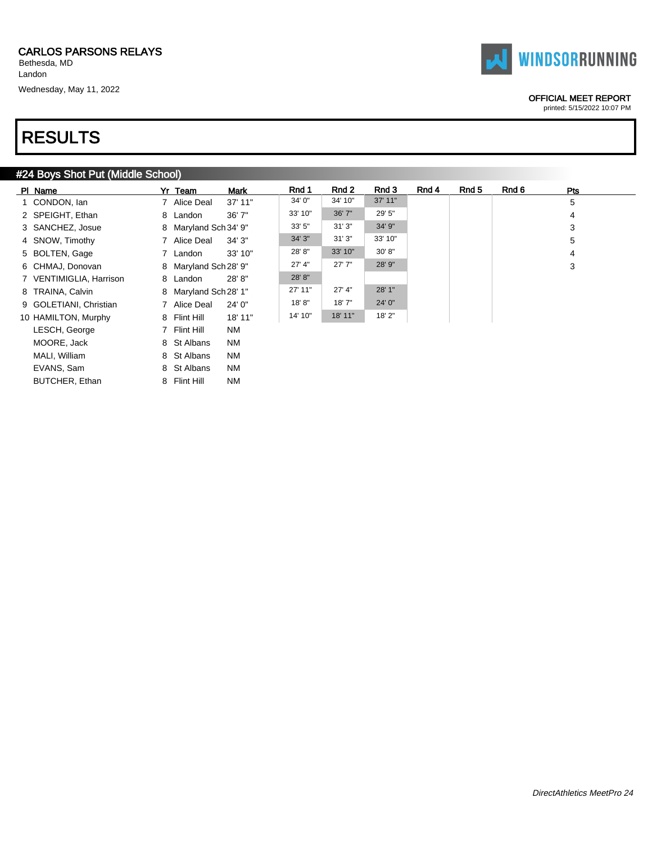Landon

Wednesday, May 11, 2022

# RESULTS

### #24 Boys Shot Put (Middle School)

| PI Name                 | Yr Team               | <b>Mark</b> | Rnd 1    | Rnd 2   | Rnd 3   | Rnd 4 | Rnd 5 | Rnd 6 | Pts |
|-------------------------|-----------------------|-------------|----------|---------|---------|-------|-------|-------|-----|
| 1 CONDON, Ian           | 7 Alice Deal          | $37'$ 11"   | 34' 0"   | 34' 10" | 37' 11" |       |       |       | 5   |
| 2 SPEIGHT, Ethan        | 8 Landon              | 36'7''      | 33' 10"  | 36' 7"  | 29' 5"  |       |       |       | 4   |
| 3 SANCHEZ, Josue        | 8 Maryland Sch 34' 9" |             | 33'5''   | 31'3''  | 34' 9"  |       |       |       | 3   |
| 4 SNOW, Timothy         | 7 Alice Deal          | 34'3''      | 34' 3"   | 31'3''  | 33' 10" |       |       |       | 5   |
| 5 BOLTEN, Gage          | 7 Landon              | 33' 10"     | 28' 8"   | 33' 10" | 30' 8"  |       |       |       | 4   |
| 6 CHMAJ, Donovan        | 8 Maryland Sch 28' 9" |             | $27'$ 4" | 27'7''  | 28' 9"  |       |       |       | 3   |
| 7 VENTIMIGLIA, Harrison | 8 Landon              | 28'8"       | 28' 8"   |         |         |       |       |       |     |
| 8 TRAINA, Calvin        | 8 Maryland Sch 28' 1" |             | 27' 11"  | 27' 4"  | 28' 1"  |       |       |       |     |
| 9 GOLETIANI, Christian  | 7 Alice Deal          | 24'0''      | 18'8"    | 18'7"   | 24' 0"  |       |       |       |     |
| 10 HAMILTON, Murphy     | 8 Flint Hill          | 18' 11"     | 14' 10"  | 18' 11" | 18' 2"  |       |       |       |     |
| LESCH, George           | 7 Flint Hill          | NM          |          |         |         |       |       |       |     |
| MOORE, Jack             | 8 St Albans           | NM          |          |         |         |       |       |       |     |
| MALI, William           | 8 St Albans           | NM          |          |         |         |       |       |       |     |
| EVANS, Sam              | 8 St Albans           | ΝM          |          |         |         |       |       |       |     |
| BUTCHER, Ethan          | 8 Flint Hill          | ΝM          |          |         |         |       |       |       |     |



#### OFFICIAL MEET REPORT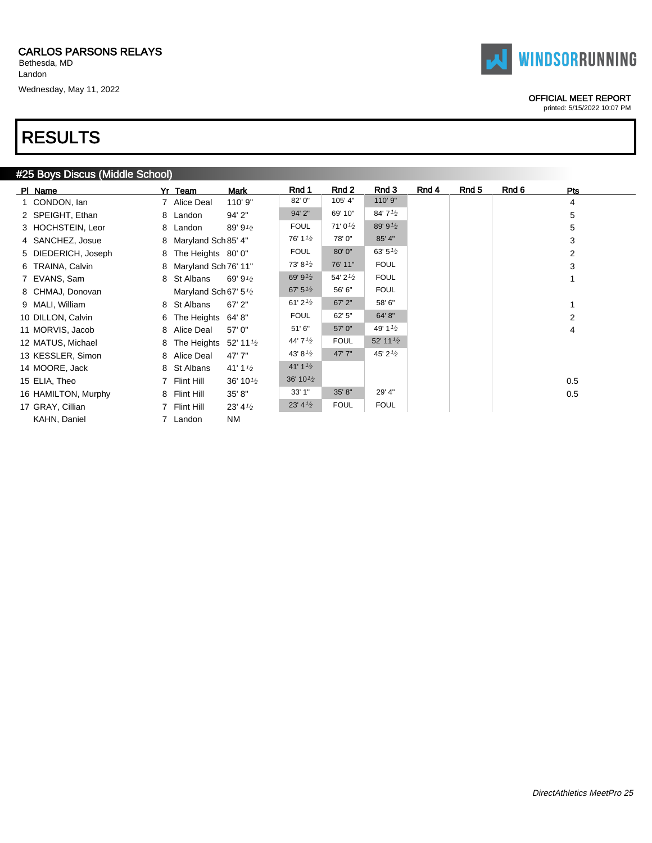Landon Wednesday, May 11, 2022



#### OFFICIAL MEET REPORT

printed: 5/15/2022 10:07 PM

# RESULTS

### #25 Boys Discus (Middle School)

| PI Name             | Yr Team                                        | Mark                 | Rnd 1                             | Rnd 2         | Rnd 3                | Rnd 4 | Rnd 5 | Rnd 6 | Pts            |
|---------------------|------------------------------------------------|----------------------|-----------------------------------|---------------|----------------------|-------|-------|-------|----------------|
| 1 CONDON, Ian       | 7 Alice Deal                                   | 110' 9"              | 82' 0"                            | 105' 4"       | 110' 9"              |       |       |       | 4              |
| 2 SPEIGHT, Ethan    | 8 Landon                                       | 94' 2"               | 94' 2"                            | 69' 10"       | 84'7'2               |       |       |       | 5              |
| 3 HOCHSTEIN, Leor   | 8 Landon                                       | 89' 9 $\frac{1}{2}$  | <b>FOUL</b>                       | $71'0^{1/2}$  | 89' 91/2             |       |       |       | 5              |
| 4 SANCHEZ, Josue    | 8 Maryland Sch 85' 4"                          |                      | 76' 1 $\frac{1}{2}$               | 78'0"         | 85' 4"               |       |       |       | 3              |
| 5 DIEDERICH, Joseph | 8 The Heights 80' 0"                           |                      | <b>FOUL</b>                       | 80' 0"        | 63' $5\frac{1}{2}$   |       |       |       | 2              |
| 6 TRAINA, Calvin    | 8 Maryland Sch 76' 11"                         |                      | 73' 8'2                           | 76' 11"       | <b>FOUL</b>          |       |       |       | 3              |
| 7 EVANS, Sam        | 8 St Albans                                    | 69' 9 $\frac{1}{2}$  | 69' 9 $\frac{1}{2}$               | 54' $2^{1/2}$ | <b>FOUL</b>          |       |       |       |                |
| 8 CHMAJ, Donovan    | Maryland Sch 67' 5 <sup>1</sup> / <sub>2</sub> |                      | 67' $5^{1/2}$                     | 56' 6"        | <b>FOUL</b>          |       |       |       |                |
| 9 MALI, William     | 8 St Albans                                    | $67'$ 2"             | 61' 2 $\frac{1}{2}$               | 67' 2"        | 58' 6"               |       |       |       |                |
| 10 DILLON, Calvin   | 6 The Heights 64'8"                            |                      | <b>FOUL</b>                       | 62' 5"        | 64' 8"               |       |       |       | $\overline{2}$ |
| 11 MORVIS, Jacob    | 8 Alice Deal                                   | 57' 0"               | 51'6"                             | 57' 0"        | 49' $1\frac{1}{2}$   |       |       |       | 4              |
| 12 MATUS, Michael   | 8 The Heights $52'$ 11 $\frac{1}{2}$           |                      | 44' $7\frac{1}{2}$                | <b>FOUL</b>   | 52' 11 $\frac{1}{2}$ |       |       |       |                |
| 13 KESSLER, Simon   | 8 Alice Deal                                   | 47' 7"               | 43' 8 $\frac{1}{2}$               | 47'7"         | 45' $2^{1/2}$        |       |       |       |                |
| 14 MOORE, Jack      | 8 St Albans                                    | 41' 1 $\frac{1}{2}$  | 41'11/2                           |               |                      |       |       |       |                |
| 15 ELIA, Theo       | 7 Flint Hill                                   | 36' 10 $\frac{1}{2}$ | 36' 10 $\frac{1}{2}$              |               |                      |       |       |       | 0.5            |
| 16 HAMILTON, Murphy | 8 Flint Hill                                   | 35' 8"               | 33'1"                             | 35' 8"        | 29' 4"               |       |       |       | 0.5            |
| 17 GRAY, Cillian    | 7 Flint Hill                                   | $23' 4\frac{1}{2}$   | 23' 4 <sup>1</sup> / <sub>2</sub> | <b>FOUL</b>   | <b>FOUL</b>          |       |       |       |                |
| KAHN, Daniel        | 7 Landon                                       | ΝM                   |                                   |               |                      |       |       |       |                |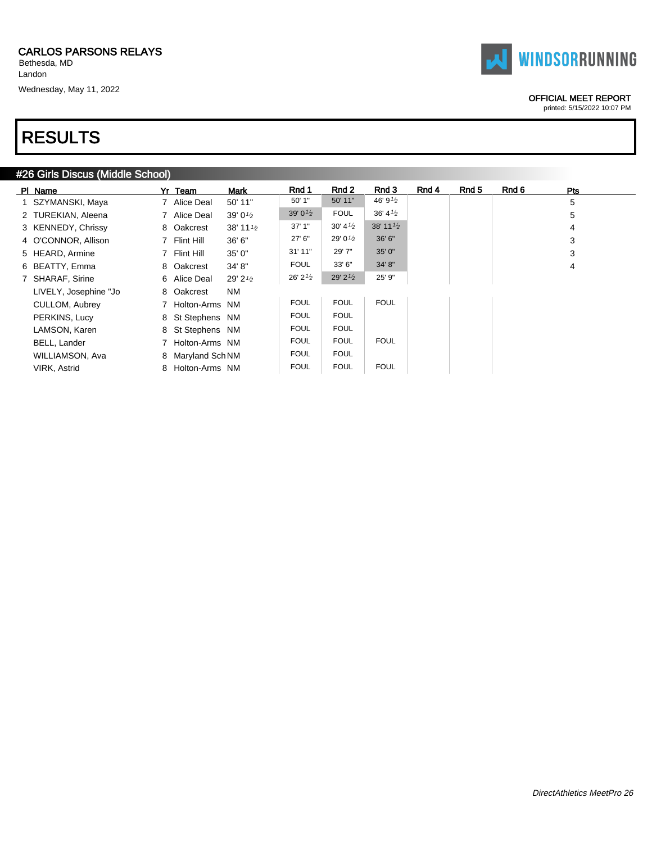# RESULTS

### #26 Girls Discus (Middle School)

| PI Name               | Yr Team           | <b>Mark</b>          | Rnd 1               | Rnd 2               | Rnd 3                | Rnd 4 | Rnd 5 | Rnd 6 | <b>Pts</b> |
|-----------------------|-------------------|----------------------|---------------------|---------------------|----------------------|-------|-------|-------|------------|
| 1 SZYMANSKI, Maya     | 7 Alice Deal      | 50' 11"              | 50' 1"              | 50' 11"             | 46' 9 $\frac{1}{2}$  |       |       |       | 5          |
| 2 TUREKIAN, Aleena    | 7 Alice Deal      | 39' $0\frac{1}{2}$   | 39' 0 $\frac{1}{2}$ | <b>FOUL</b>         | 36' 4'2              |       |       |       | 5          |
| 3 KENNEDY, Chrissy    | 8 Oakcrest        | 38' 11 $\frac{1}{2}$ | 37'1''              | $30' 41'_{2}$       | 38' 11 $\frac{1}{2}$ |       |       |       | 4          |
| 4 O'CONNOR, Allison   | 7 Flint Hill      | 36' 6"               | $27'$ 6"            | 29' 0 $\frac{1}{2}$ | 36' 6"               |       |       |       | 3          |
| 5 HEARD, Armine       | 7 Flint Hill      | 35' 0"               | 31'11''             | 29' 7"              | 35' 0"               |       |       |       | 3          |
| 6 BEATTY, Emma        | 8 Oakcrest        | 34' 8"               | <b>FOUL</b>         | 33'6''              | 34' 8"               |       |       |       | 4          |
| 7 SHARAF, Sirine      | 6 Alice Deal      | 29' 2 $\frac{1}{2}$  | 26' 2' <sub>2</sub> | 29' $2^{1/2}$       | 25' 9"               |       |       |       |            |
| LIVELY, Josephine "Jo | 8 Oakcrest        | <b>NM</b>            |                     |                     |                      |       |       |       |            |
| CULLOM, Aubrey        | 7 Holton-Arms NM  |                      | <b>FOUL</b>         | <b>FOUL</b>         | <b>FOUL</b>          |       |       |       |            |
| PERKINS, Lucy         | 8 St Stephens NM  |                      | <b>FOUL</b>         | <b>FOUL</b>         |                      |       |       |       |            |
| LAMSON, Karen         | 8 St Stephens NM  |                      | <b>FOUL</b>         | <b>FOUL</b>         |                      |       |       |       |            |
| BELL, Lander          | 7 Holton-Arms NM  |                      | <b>FOUL</b>         | <b>FOUL</b>         | <b>FOUL</b>          |       |       |       |            |
| WILLIAMSON, Ava       | 8 Maryland Sch NM |                      | <b>FOUL</b>         | <b>FOUL</b>         |                      |       |       |       |            |
| VIRK, Astrid          | 8 Holton-Arms NM  |                      | <b>FOUL</b>         | <b>FOUL</b>         | <b>FOUL</b>          |       |       |       |            |



#### OFFICIAL MEET REPORT printed: 5/15/2022 10:07 PM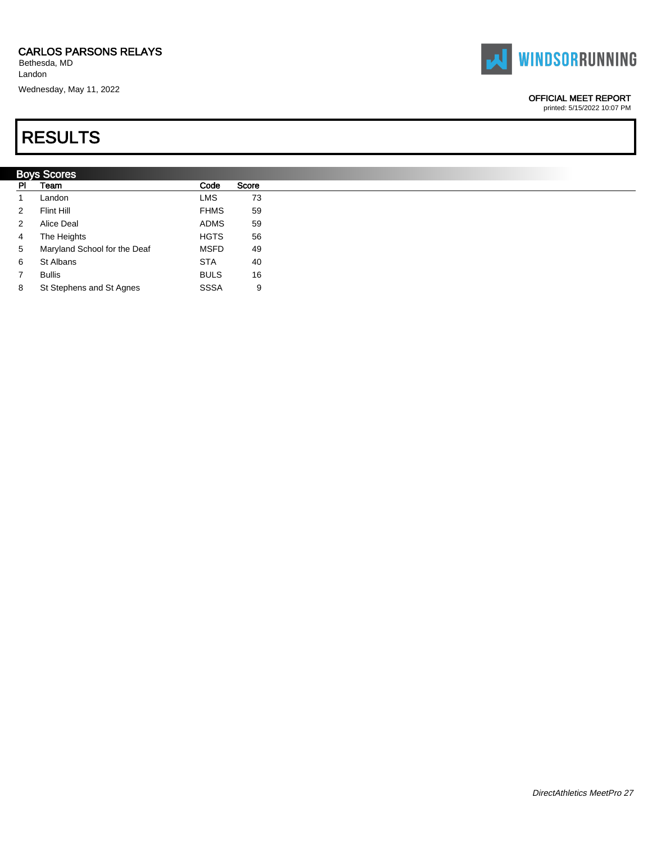Bethesda, MD Landon

Wednesday, May 11, 2022

# RESULTS

### Boys Scores PI Team Code Score 1 Landon **LMS** 73 2 Flint Hill **FHMS** 59 2 Alice Deal **ADMS** 59 4 The Heights **HGTS** 56 5 Maryland School for the Deaf MSFD 49 6 St Albans STA 40

- 7 Bullis 16
- 8 St Stephens and St Agnes SSSA 9



### OFFICIAL MEET REPORT